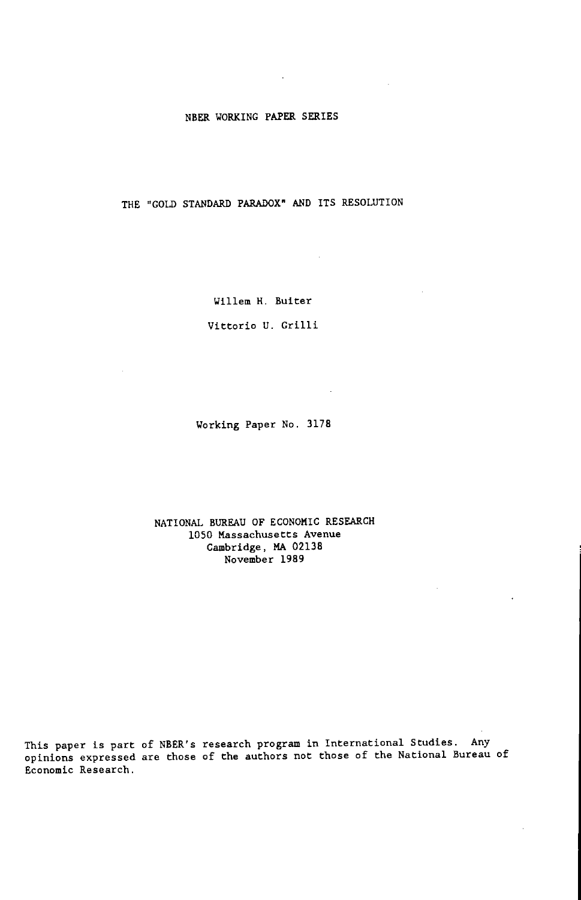### NBER WORKING PAPER SERIES

 $\ddot{\phantom{a}}$ 

THE "GOLD STANDARD PARADOX" AND ITS RESOLUTION

Willem H. Buiter

 $\sim 10^{-11}$ 

Vittorio U. Grilli

Working Paper No. 3178

NATIONAL BUREAU OF ECONOMIC RESEARCH 1050 Massachusetts Avenue Cambridge, MA 02138 November 1989

This paper is part of NBER's research program in International Studies. Any<br>opinions expressed are those of the authors not those of the National Bureau of Economic Research.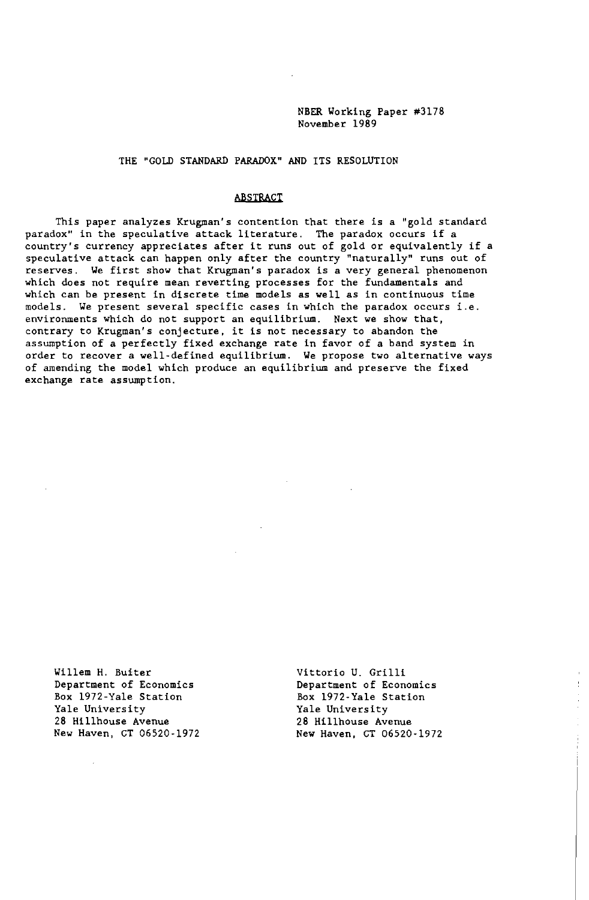NBER Working Paper #3178 November 1989

THE "GOLD STANDARD PARADOX" AND ITS RESOLUTION

#### ABSTRACT

This paper analyzes Krugman's contention that there is a "gold standard paradox" in the speculative attack literature. The paradox occurs if <sup>a</sup> country's currency appreciates after it runs out of gold or equivalently if <sup>a</sup> speculative attack can happen only after the country "naturally" runs out of reserves. We first show that Krugman's paradox is <sup>a</sup> very general phenomenon which does not require mean reverting processes for the fundamentals and which can be present in discrete time models as well as in continuous time models. We present several specific cases in which the paradox occurs i.e. environments which do not support an equilibrium. Next we show that, contrary to Krugman's conjecture, it is not necessary to abandon the assumption of a perfectly fixed exchange rate in favor of a band system in order to recover a well-defined equilibrium. We propose two alternative ways of amending the model which produce an equilibrium and preserve the fixed exchange rate assumption.

Willem H. Buiter Department of Economics Box 1972-Yale Station Yale University 28 Hillhouse Avenue New Haven, CT 06520-1972

Vittorio U. Grilli Department of Economics Box 1972-Yale Station Yale University 28 Hillhouse Avenue New Haven, CT 06520-1972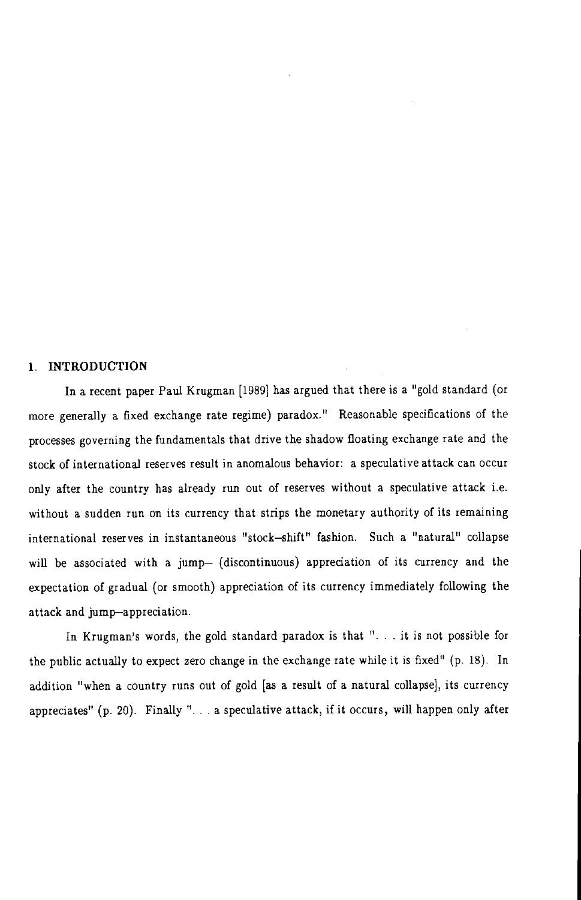## 1. INTRODUCTION

In a recent paper Paul Krugman [1989] has argued that there is a "gold standard (or more generally a fixed exchange rate regime) paradox." Reasonable specifications of the processes governing the fundamentals that drive the shadow floating exchange rate and the stock of international reserves result in anomalous behavior: a speculative attack can occur only after the country has already run out of reserves without a speculative attack i.e. without a sudden run on its currency that strips the monetary authority of its remaining international reserves in instantaneous "stock-shift" fashion. Such a "natural" collapse will be associated with a jump- (discontinuous) appreciation of its currency and the expectation of gradual (or smooth) appreciation of its currency immediately following the attack and jump-appreciation.

In Krugman's words, the gold standard paradox is that "... it is not possible for the public actually to expect zero change in the exchange rate while it is fixed" (p. 18). In addition "when a country runs out of gold [as a result of a natural collapse], its currency appreciates" (p. 20). Finally " $\ldots$  a speculative attack, if it occurs, will happen only after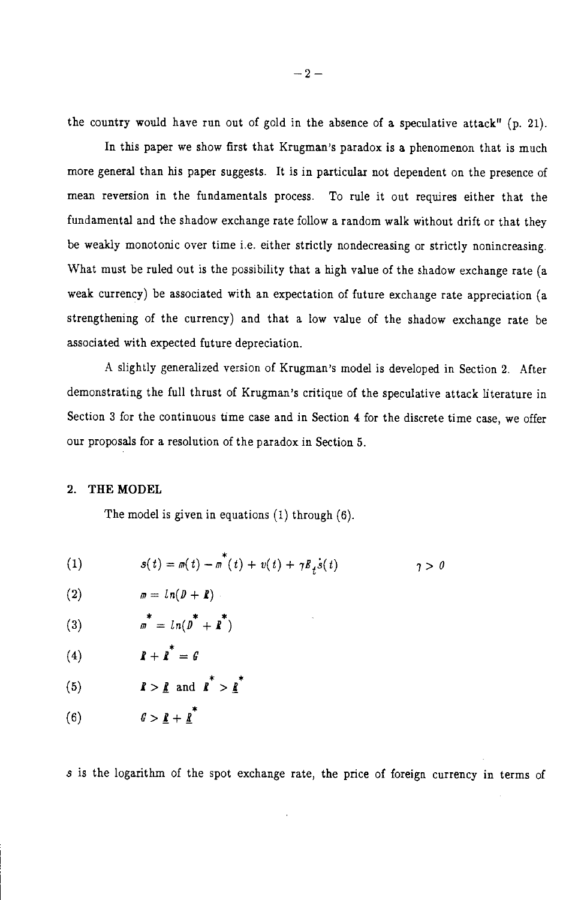the country would have run out of gold in the absence of a speculative attack" (p. 21).

In this paper we show first that Krugman's paradox is a phenomenon that is much more general than his paper suggests. It is in particular not dependent on the presence of mean reversion in the fundamentals process. To rule it out requires either that the fundamental and the shadow exchange rate follow a random walk without drift or that they be weakly monotonic over time i.e. either strictly nondecreasing or strictly nonincreasing. What must be ruled out is the possibility that a high value of the shadow exchange rate (a weak currency) be associated with an expectation of future exchange rate appreciation (a strengthening of the currency) and that a low value of the shadow exchange rate be associated with expected future depreciation.

A slightly generalized version of Krugman's model is developed in Section 2. After demonstrating the full thrust of Krugman's critique of the speculative attack literature in Section 3 for the continuous time case and in Section 4 for the discrete time case, we offer our proposals for a resolution of the paradox in Section 5.

## 2. THE MODEL

The model is given in equations  $(1)$  through  $(6)$ .

(1) 
$$
s(t) = m(t) - m(t) + v(t) + \gamma B_t \dot{s}(t) \qquad \qquad \gamma > 0
$$

$$
(2) \qquad \qquad m = ln(D + R)
$$

(3) 
$$
\pi^* = ln(D^* + R^*)
$$

$$
(4) \hspace{1cm} \hspace{1cm} \hspace{1cm} \hspace{1cm} \hspace{1cm} \hspace{1cm} \hspace{1cm} \hspace{1cm} \hspace{1cm} \hspace{1cm} \hspace{1cm} \hspace{1cm} \hspace{1cm} \hspace{1cm} \hspace{1cm} \hspace{1cm} \hspace{1cm} \hspace{1cm} \hspace{1cm} \hspace{1cm} \hspace{1cm} \hspace{1cm} \hspace{1cm} \hspace{1cm} \hspace{1cm} \hspace{1cm} \hspace{1cm} \hspace{1cm} \hspace{1cm} \hspace{1cm} \hspace{1cm} \hspace{1cm} \hspace{1cm} \hspace{1cm} \hspace{1cm} \hspace{1cm} \hspace{1cm} \hspace{1cm} \hspace{1cm} \hspace{1cm} \hspace{1cm} \hspace{1cm} \hspace{1cm} \hspace{1cm} \hspace{1cm} \hspace{1cm} \hspace{1cm} \hspace{1cm} \hspace{1cm} \hspace{1cm} \hspace{1cm} \hspace{1cm} \hspace{1cm} \hspace{1cm} \hspace{1cm} \hspace{1cm} \hspace{1cm} \hspace{1cm} \hspace{1cm} \hspace{1cm} \hspace{1cm} \hspace{1cm} \hspace{1cm} \hspace{1cm} \hspace{1cm} \hspace{1cm} \hspace{1cm} \hspace{1cm} \hspace{1cm} \hspace{1cm} \hspace{1cm} \hspace{1cm} \hspace{1cm} \hspace{1cm} \hspace{1cm} \hspace{1cm} \hspace{1cm} \hspace{1cm} \hspace{1cm} \hspace{1cm} \hspace{1cm} \hspace{1cm} \hspace{1cm} \hspace{1cm} \hspace{1cm} \hspace{1cm} \hspace{1cm} \hspace{1cm} \hspace{1cm} \hspace{1cm} \hspace{1cm} \hspace{1cm} \hspace{1cm} \hspace{1cm} \hspace{1cm} \hspace{1cm} \hspace{1cm} \hspace{1cm} \hspace{1cm} \hspace{1cm} \hspace{1cm} \hspace{1cm} \hspace{1cm} \hspace{1cm} \hspace{1cm} \hspace{1cm} \hspace{1cm} \hspace{1cm} \
$$

s is the logarithm of the spot exchange rate, the price of foreign currency in terms of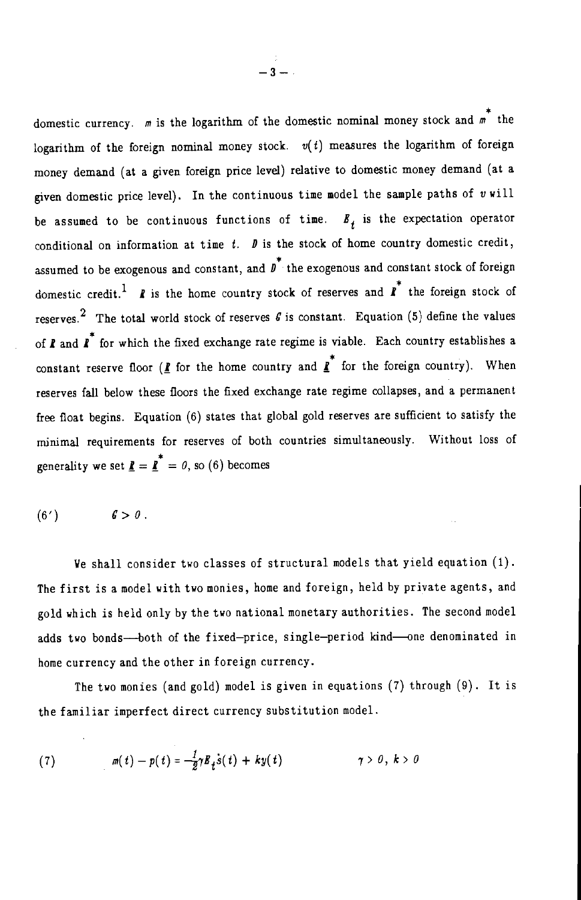domestic currency.  $m$  is the logarithm of the domestic nominal money stock and  $m^*$  the logarithm of the foreign nominal money stock.  $v(t)$  measures the logarithm of foreign money demand (at a given foreign price level) relative to domestic money demand (at a given domestic price level). In the continuous time model the sample paths of v will be assumed to be continuous functions of time.  $B_t$  is the expectation operator conditional on information at time  $t$ .  $\mathbf{D}$  is the stock of home country domestic credit, assumed to be exogenous and constant, and  $\overrightarrow{b}$  the exogenous and constant stock of foreign domestic credit.<sup>1</sup> *I* is the home country stock of reserves and  $\overrightarrow{I}$  the foreign stock of reserves.<sup>2</sup> The total world stock of reserves  $\theta$  is constant. Equation (5) define the values of  $\mathbf{r}$  and  $\mathbf{r}^*$  for which the fixed exchange rate regime is viable. Each country establishes a constant reserve floor ( $\underline{\mathbf{f}}$  for the home country and  $\underline{\mathbf{f}}^*$  for the foreign country). When reserves fall below these floors the fixed exchange rate regime collapses, and a permanent free float begins. Equation (6) states that global gold reserves are sufficient to satisfy the minimal requirements for reserves of both countries simultaneously. Without loss of generality we set  $\mathbf{I} = \mathbf{I}^* = 0$ , so (6) becomes

$$
(6') \hspace{1cm} 6 > 0.
$$

We shall consider two classes of structural models that yield equation (1). The first is a model with two monies, home and foreign, held by private agents, and gold which is held only by the two national monetary authorities. The second model adds two bonds—both of the fixed-price, single-period kind—one denominated in home currency and the other in foreign currency.

The two monies (and gold) model is given in equations (7) through (9). It is the familiar imperfect direct currency substitution model.

(7) 
$$
m(t) - p(t) = -\frac{1}{2}\gamma B_t \dot{s}(t) + ky(t) \qquad \gamma > 0, \ k > 0
$$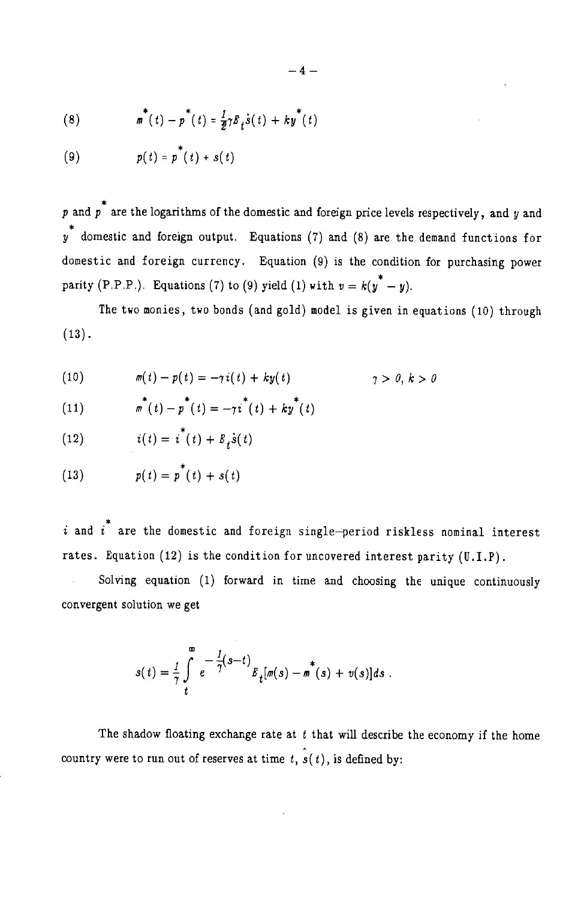(8) 
$$
\pi^{*}(t) - p^{*}(t) = \frac{1}{2}\gamma E_{t} \dot{s}(t) + k y^{*}(t)
$$

$$
(9) \hspace{1cm} p(t) = p^{\top}(t) + s(t)
$$

p and p<sup>\*</sup> are the logarithms of the domestic and foreign price levels respectively, and y and  $v^*$  domestic and foreign output. Equations (7) and (8) are the demand functions for domestic and foreign currency. Equation (9) is the condition for purchasing power parity (P.P.P.). Equations (7) to (9) yield (1) with  $v = k(y^* - y)$ .

The two monies, two bonds (and gold) model is given in equations (10) through  $(13)$ .

(10) 
$$
m(t) - p(t) = -\gamma i(t) + k y(t) \qquad \qquad \gamma > 0, k > 0
$$

(11) 
$$
\pi^{*}(t) - p^{*}(t) = -\gamma i^{*}(t) + k y^{*}(t)
$$

$$
(12) \qquad \qquad i(t) = i^*(t) + E_t \dot{s}(t)
$$

(13) 
$$
p(t) = p^{*}(t) + s(t)
$$

 $i$  and  $i^*$  are the domestic and foreign single-period riskless nominal interest rates. Equation  $(12)$  is the condition for uncovered interest parity  $(U,I.P)$ .

Solving equation (1) forward in time and choosing the unique continuously convergent solution we get

$$
s(t) = \frac{1}{\gamma} \int_{t}^{\infty} e^{-\frac{1}{\gamma}(s-t)} B_{t} [m(s) - m^{*}(s) + v(s)] ds.
$$

The shadow floating exchange rate at  $t$  that will describe the economy if the home country were to run out of reserves at time t,  $\hat{s}(t)$ , is defined by: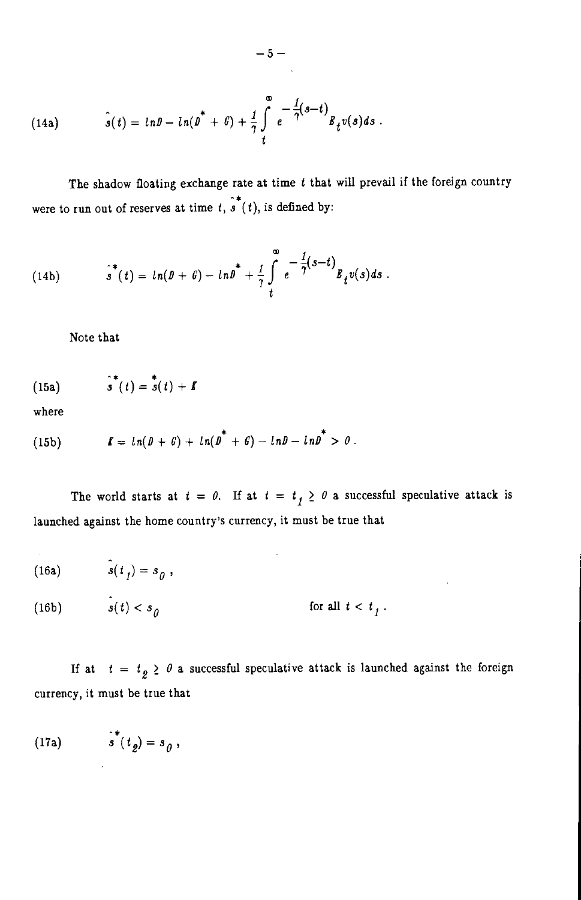(14a) 
$$
\hat{s}(t) = ln \theta - ln(\theta^* + \theta) + \frac{1}{\gamma} \int_{t}^{\infty} e^{-\frac{1}{\gamma}(s-t)} B_t v(s) ds.
$$

The shadow floating exchange rate at time  $t$  that will prevail if the foreign country were to run out of reserves at time  $t, \hat{s}(t)$ , is defined by:

(14b) 
$$
\hat{s}^*(t) = ln(D + G) - lnD^* + \frac{1}{7}\int_t^{\infty} e^{-\frac{1}{7}(s-t)}B_t v(s)ds.
$$

Note that

(15a) 
$$
\hat{s}^*(t) = \hat{s}(t) + I
$$

where

(15b) 
$$
I = ln(D + G) + ln(D^* + G) - lnD - lnD^* > 0.
$$

The world starts at  $t = 0$ . If at  $t = t<sub>j</sub> \ge 0$  a successful speculative attack is launched against the home country's currency, it must be true that

 $\mathcal{L}^{\text{max}}_{\text{max}}$  and  $\mathcal{L}^{\text{max}}_{\text{max}}$ 

(16a) 
$$
\hat{s}(t_1) = s_0,
$$

(16b) 
$$
s(t) < s_{0} \qquad \text{for all } t < t_{1}.
$$

If at  $t = t_g \geq 0$  a successful speculative attack is launched against the foreign currency, it must be true that

$$
(17a) \qquad \qquad \hat{s}^*(t_g) = s_g,
$$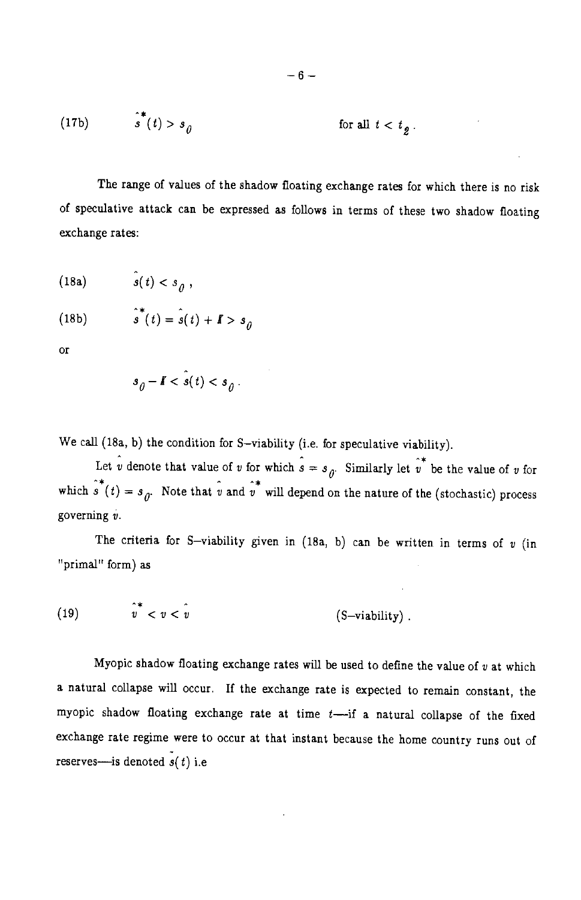(17b) 
$$
\int_{0}^{4} (t) > s_0
$$
 for all  $t < t_0$ 

The range of values of the shadow floating exchange rates for which there is no risk of speculative attack can be expressed as follows in terms of these two shadow floating exchange rates:

$$
(18a) \t\t s(t) < s_{\theta},
$$

(18b) 
$$
\hat{s}^*(t) = \hat{s}(t) + \mathbf{I} > s_0
$$

 $\alpha$ 

$$
s_{\hat{\theta}} - I < s(t) < s_{\hat{\theta}}.
$$

We call (18a, b) the condition for S-viability (i.e. for speculative viability).

Let  $\hat{v}$  denote that value of v for which  $\hat{s} = s_{\hat{y}}$ . Similarly let  $\hat{v}^*$  be the value of v for which  $\hat{s}(t) = s_{\theta}$ . Note that  $\hat{v}$  and  $\hat{v}^*$  will depend on the nature of the (stochastic) process governing  $v$ .

The criteria for S-viability given in (18a, b) can be written in terms of  $v$  (in "primal" form) as

$$
(19) \t\t v^* < v < v \t\t (S–viability)
$$

Myopic shadow floating exchange rates will be used to define the value of  $v$  at which a natural collapse will occur. If the exchange rate is expected to remain constant, the myopic shadow floating exchange rate at time  $t$ -if a natural collapse of the fixed exchange rate regime were to occur at that instant because the home country runs out of reserves—is denoted  $\overline{s}(t)$  i.e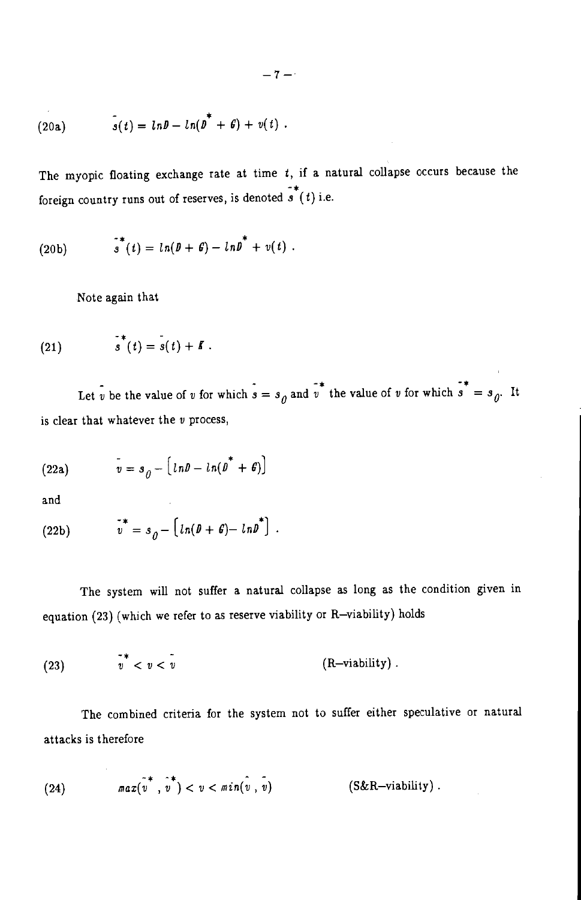(20a) 
$$
s(t) = ln \theta - ln(\theta^* + \theta) + v(t).
$$

The myopic floating exchange rate at time  $t$ , if a natural collapse occurs because the foreign country runs out of reserves, is denoted  $\overline{s}^*(t)$  i.e.

(20b) 
$$
s^*(t) = ln(D + \theta) - lnD^* + v(t).
$$

Note again that

$$
\stackrel{\bullet}{(21)} \qquad \qquad s^*(t) = s(t) + \mathbf{I} \; .
$$

Let v be the value of v for which  $s = s_0$  and v the value of v for which  $s^* = s_0$ . It is clear that whatever the  $v$  process,

(22a) 
$$
v = s_{\theta} - \left[ ln \theta - ln(\theta^* + \theta) \right]
$$

and

(22b) 
$$
v^* = s_{\theta} - \left[ ln(\theta + \theta) - ln \theta^* \right].
$$

The system will not suffer a natural collapse as long as the condition given in equation (23) (which we refer to as reserve viability or R-viability) holds

$$
(23) \t\t\t $\overline{v}$  <  $v < \overline{v}$  (R–viability)
$$

The combined criteria for the system not to suffer either speculative or natural attacks is therefore

(24) 
$$
\max(\overline{v}^*, \overline{v}^*) < v < \min(\overline{v}, \overline{v})
$$
 (S&R–viability).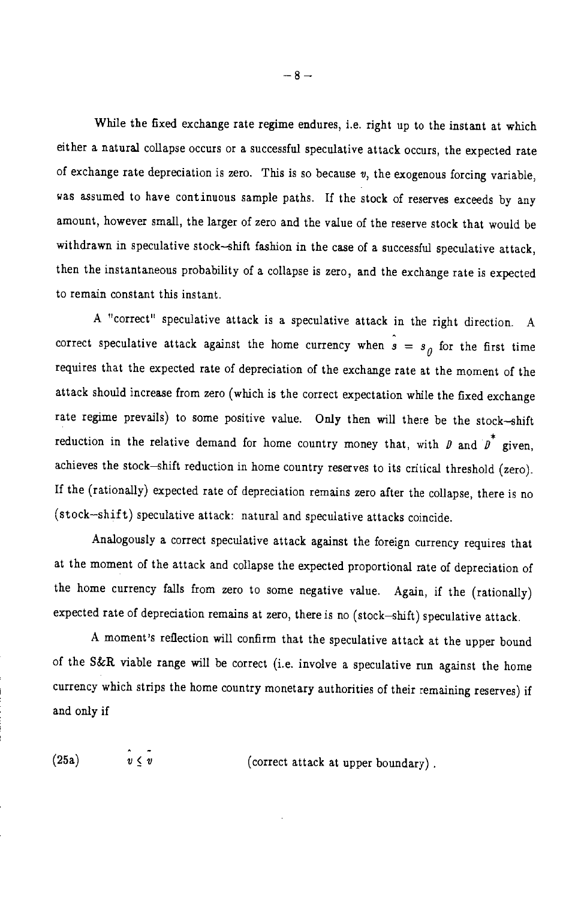While the fixed exchange rate regime endures, i.e. right up to the instant at which either a natural collapse occurs or a successful speculative attack occurs, the expected rate of exchange rate depreciation is zero. This is so because  $v$ , the exogenous forcing variable, was assumed to have continuous sample paths. If the stock of reserves exceeds by any amount, however small, the larger of zero and the value of the reserve stock that would be withdrawn in speculative stock-shift fashion in the case of a successful speculative attack, then the instantaneous probability of a collapse is zero, and the exchange rate is expected to remain constant this instant.

A "correct" speculative attack is a speculative attack in the right direction. A correct speculative attack against the home currency when  $s = s_a$  for the first time requires that the expected rate of depreciation of the exchange rate at the moment of the attack should increase from zero (which is the correct expectation while the fixed exchange rate regime prevails) to some positive value. Only then will there be the stock-shift reduction in the relative demand for home country money that, with  $\beta$  and  $\beta^*$  given, achieves the stock-shift reduction in home country reserves to its critical threshold (zero). If the (rationally) expected rate of depreciation remains zero after the collapse, there is no (stock-shift) speculative attack: natural and speculative attacks coincide.

Analogously a correct speculative attack against the foreign currency requires that at the moment of the attack and collapse the expected proportional rate of depreciation of the home currency falls from zero to some negative value. Again, if the (rationally) expected rate of depreciation remains at zero, there is no (stock-shift) speculative attack.

A moment's reflection will confirm that the speculative attack at the upper bound of the S&R viable range will be correct (i.e. involve a speculative run against the home currency which strips the home country monetary authorities of their remaining reserves) if and only if

 $(25a)$ 

 $\hat{v} \lt \tilde{v}$ 

(correct attack at upper boundary).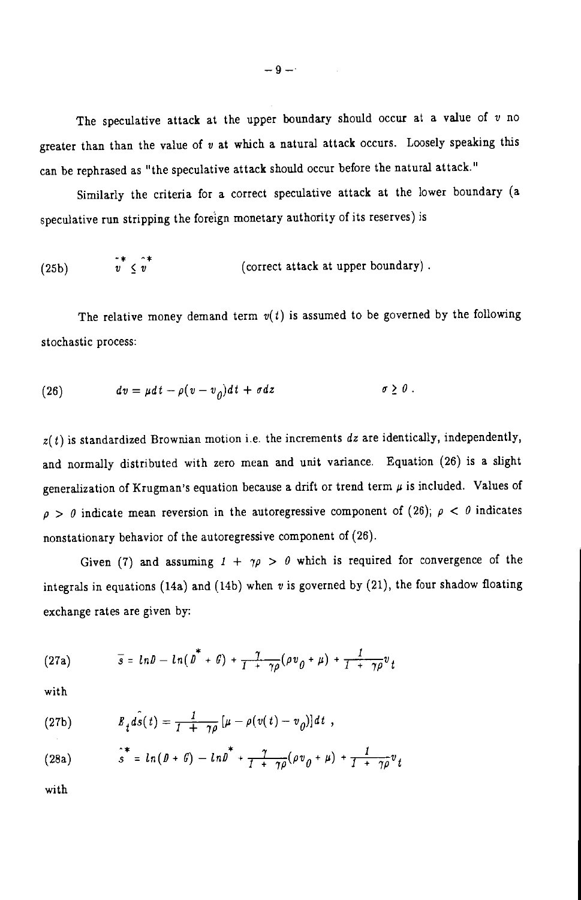The speculative attack at the upper boundary should occur at a value of  $v$  no greater than than the value of  $v$  at which a natural attack occurs. Loosely speaking this can be rephrased as "the speculative attack should occur before the natural attack."

Similarly the criteria for a correct speculative attack at the lower boundary (a speculative run stripping the foreign monetary authority of its reserves) is

(25b) 
$$
v \le v^*
$$
 (correct attack at upper boundary)

The relative money demand term  $v(t)$  is assumed to be governed by the following stochastic process:

(26) 
$$
dv = \mu dt - \rho (v - v_{\theta}) dt + \sigma dz \qquad \sigma \geq 0.
$$

 $z(t)$  is standardized Brownian motion i.e. the increments  $dz$  are identically, independently, and normally distributed with zero mean and unit variance. Equation (26) is a slight generalization of Krugman's equation because a drift or trend term  $\mu$  is included. Values of  $\rho > \theta$  indicate mean reversion in the autoregressive component of (26);  $\rho < \theta$  indicates nonstationary behavior of the autoregressive component of (26).

Given (7) and assuming  $1 + \gamma \rho > \theta$  which is required for convergence of the integrals in equations (14a) and (14b) when  $v$  is governed by (21), the four shadow floating exchange rates are given by:

(27a) 
$$
\overline{s} = ln\theta - ln(\theta^* + \theta) + \frac{7}{1 + \gamma\rho}(\rho v_0 + \mu) + \frac{1}{1 + \gamma\rho}v_t
$$

with

(27b) 
$$
B_t \hat{ds}(t) = \frac{1}{1 + \gamma \rho} \left[ \mu - \rho(v(t) - v_0) \right] dt,
$$

(28a) 
$$
s^* = ln(D + G) - lnD^* + \frac{\gamma}{1 + \gamma \rho} (\rho v_0 + \mu) + \frac{1}{1 + \gamma \rho} v_t
$$

with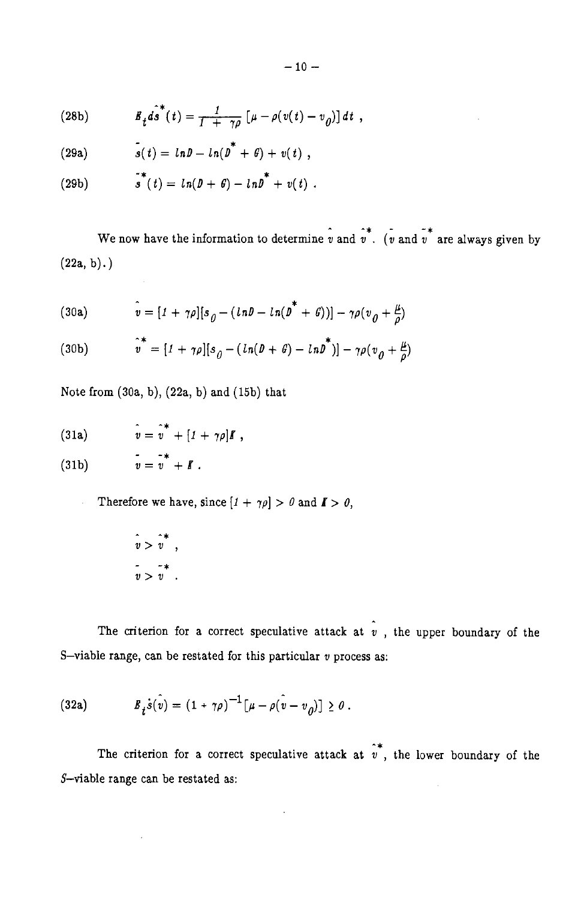(28b) 
$$
E_t \hat{ds}^*(t) = \frac{1}{1 + \gamma \rho} \left[ \mu - \rho(v(t) - v_0) \right] dt,
$$

(29a) 
$$
s(t) = ln D - ln(D^* + G) + v(t)
$$

(29b) 
$$
s^*(t) = ln(D + \theta) - lnD^* + v(t).
$$

We now have the information to determine  $\hat{v}$  and  $\hat{v}^*$ . ( $\hat{v}$  and  $\hat{v}^*$  are always given by  $(22a, b)$ .)

(30a) 
$$
\hat{v} = [I + \gamma \rho][s_{\rho} - (ln\theta - ln(\theta^* + \theta))] - \gamma \rho (v_{\rho} + \frac{\mu}{\rho})
$$

(30b) 
$$
\hat{v}^* = [1 + \gamma \rho][s_0 - (ln(D + \theta) - lnD^*)] - \gamma \rho (v_0 + \frac{\mu}{\rho})
$$

Note from  $(30a, b)$ ,  $(22a, b)$  and  $(15b)$  that

(31a) 
$$
\hat{v} = \hat{v}^* + [1 + \gamma \rho]I,
$$

 $v = v^* + I$ .  $(31b)$ 

Therefore we have, since  $[1 + \gamma \rho] > 0$  and  $I > 0$ ,

$$
\begin{array}{ccc}\n\hat{v} > \hat{v}^* \\
\hat{v} > v \\
\hat{v} > v\n\end{array},
$$

The criterion for a correct speculative attack at  $\hat{v}$ , the upper boundary of the S-viable range, can be restated for this particular  $v$  process as:

(32a) 
$$
B_t \dot{s}(\hat{v}) = (1 + \gamma \rho)^{-1} [\mu - \rho (\hat{v} - v_0)] \ge 0.
$$

The criterion for a correct speculative attack at  $\hat{v}$ , the lower boundary of the  $S$ -viable range can be restated as:

 $\overline{a}$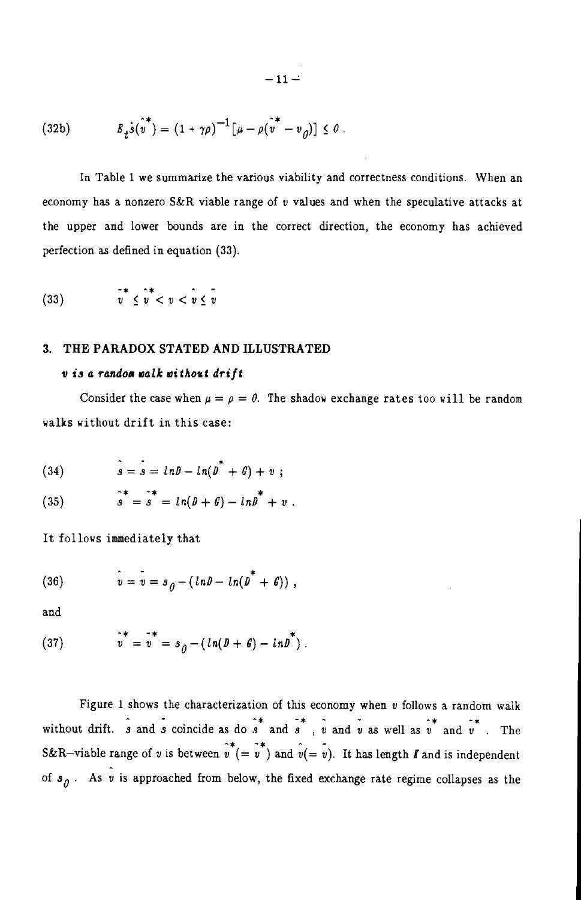(32b) 
$$
B_i \dot{s}(\hat{v}^*) = (1 + \gamma \rho)^{-1} [\mu - \rho (\hat{v}^* - v_0)] \leq 0.
$$

In Table 1 we summarize the various viability and correctness conditions. When an economy has a nonzero S&R viable range of  $v$  values and when the speculative attacks at the upper and lower bounds are in the correct direction, the economy has achieved perfection as defined in equation (33).

$$
(33) \qquad \qquad v^* \le v^* < v < v \le v
$$

### 3. THE PARADOX STATED AND ILLUSTRATED

# v is a random walk without drift

Consider the case when  $\mu = \rho = \theta$ . The shadow exchange rates too will be random valks vithout drift in this case:

(34) 
$$
s = s = ln D - ln(D^* + G) + v;
$$

(35) 
$$
s^* = s^* = ln(D + G) - lnD^* + v
$$

It follows immediately that

(36) 
$$
v = v = s_0 - (ln b - ln(b^* + \theta))
$$

and

(37) 
$$
v^* = v^* = s_0 - (ln(D + \theta) - lnD^*).
$$

Figure 1 shows the characterization of this economy when  $v$  follows a random walk without drift.  $\hat{s}$  and  $\hat{s}$  coincide as do  $\hat{s}$  and  $\hat{s}$ ,  $\hat{v}$  and  $\hat{v}$  as well as  $\hat{v}$  and  $\hat{v}$ . The S&R-viable range of v is between  $v^* (= v^*)$  and  $v (= v)$ . It has length *I* and is independent of  $s_{\theta}$ . As v is approached from below, the fixed exchange rate regime collapses as the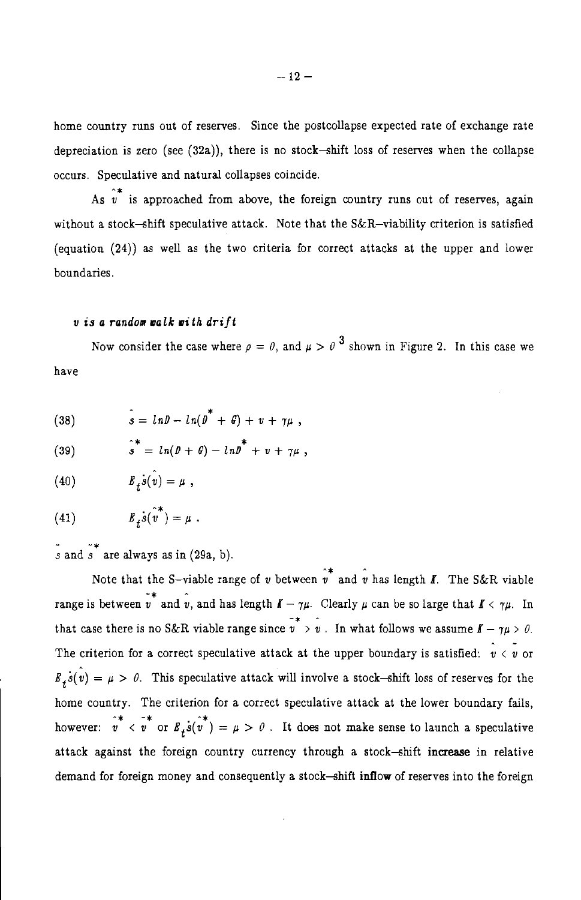home country runs out of reserves. Since the postcollapse expected rate of exchange rate depreciation is zero (see  $(32a)$ ), there is no stock-shift loss of reserves when the collapse occurs. Speculative and natural collapses coincide.

As  $\hat{v}^*$  is approached from above, the foreign country runs out of reserves, again without a stock-shift speculative attack. Note that the S&R-viability criterion is satisfied (equation (24)) as well as the two criteria for correct attacks at the upper and lower boundaries.

# v is a random walk with drift

Now consider the case where  $\rho = \theta$ , and  $\mu > \theta^3$  shown in Figure 2. In this case we have

(38) 
$$
s = ln D - ln(D^* + G) + v + \gamma \mu,
$$

(39) 
$$
s^* = ln(D + G) - lnD^* + v + \gamma \mu,
$$

 $E_x \dot{s}(\hat{v}^*) = \mu$ .  $(41)$ 

 $\tilde{s}$  and  $\tilde{s}$  are always as in (29a, b).

Note that the S-viable range of v between  $\hat{v}^*$  and v has length  $\hat{I}$ . The S&R viable range is between  $v^*$  and  $v$ , and has length  $I - \gamma \mu$ . Clearly  $\mu$  can be so large that  $I \leq \gamma \mu$ . In that case there is no S&R viable range since  $v > v$ . In what follows we assume  $f - \gamma u > 0$ . The criterion for a correct speculative attack at the upper boundary is satisfied:  $\hat{v} \lt v$  or  $E_{\mu} s(v) = \mu > 0$ . This speculative attack will involve a stock-shift loss of reserves for the home country. The criterion for a correct speculative attack at the lower boundary fails, however:  $v^* \sim v^*$  or  $B_t s(v^*) = \mu > 0$ . It does not make sense to launch a speculative attack against the foreign country currency through a stock-shift increase in relative demand for foreign money and consequently a stock-shift inflow of reserves into the foreign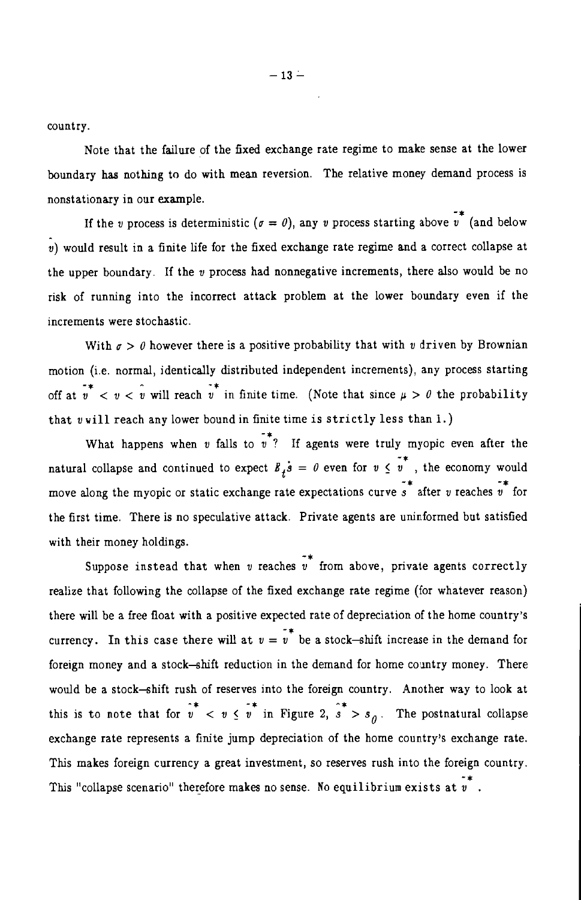country.

Note that the failure of the fixed exchange rate regime to make sense at the lower boundary has nothing to do with mean reversion. The relative money demand process is nonstationary in our example.

If the *v* process is deterministic ( $\sigma = \theta$ ), any *v* process starting above *v*<sup>\*</sup> (and below  $v$ ) would result in a finite life for the fixed exchange rate regime and a correct collapse at the upper boundary. If the  $v$  process had nonnegative increments, there also would be no risk of running into the incorrect attack problem at the lower boundary even if the increments were stochastic.

With  $\sigma > \theta$  however there is a positive probability that with v driven by Brownian motion (i.e. normal, identically distributed independent increments), any process starting off at  $v^* < v < v$  will reach  $v^*$  in finite time. (Note that since  $\mu > 0$  the probability that vwill reach any lower bound in finite time is strictly less than 1.)

What happens when *v* falls to  $\overrightarrow{v}$ ? If agents were truly myopic even after the natural collapse and continued to expect  $B_t \dot{s} = \theta$  even for  $v \le v$ , the economy would move along the myopic or static exchange rate expectations curve  $\overrightarrow{s}$  after v reaches  $\overrightarrow{v}$  for the first time. There is no speculative attack. Private agents are uninformed but satisfied with their money holdings.

Suppose instead that when v reaches  $\overrightarrow{v}$  from above, private agents correctly realize that following the collapse of the fixed exchange rate regime (for whatever reason) there will be a free float with a positive expected rate of depreciation of the home country's currency. In this case there will at  $v = v^*$  be a stock-shift increase in the demand for foreign money and a stock-shift reduction in the demand for home country money. There would be a stock-shift rush of reserves into the foreign country. Another way to look at this is to note that for  $v \leq v \leq v$  in Figure 2,  $s > s_0$ . The postnatural collapse exchange rate represents a finite jump depreciation of the home country's exchange rate. This makes foreign currency a great investment, so reserves rush into the foreign country. This "collapse scenario" therefore makes no sense. No equilibrium exists at  $\overline{v}$ .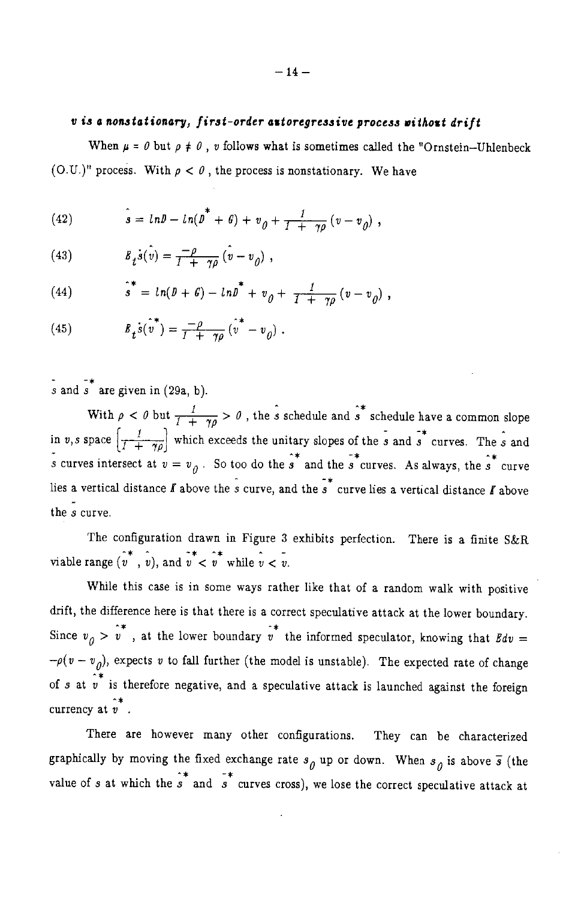# v is a nonstationary, first-order autoregressive process without drift

When  $\mu = 0$  but  $\rho \neq 0$ , v follows what is sometimes called the "Ornstein-Uhlenbeck (O.U.)" process. With  $\rho < \theta$ , the process is nonstationary. We have

(42) 
$$
\hat{s} = ln \theta - ln(\theta^* + \theta) + v_{\theta} + \frac{1}{1 + \gamma \rho} (v - v_{\theta}),
$$

(43) 
$$
B_t \dot{s}(\hat{v}) = \frac{-\rho}{1 + \gamma \rho} (\hat{v} - v_0)
$$

(44) 
$$
\hat{s}^* = ln(D + G) - lnD^* + v_0 + \frac{1}{T + \gamma \rho} (v - v_0),
$$

(45) 
$$
B_t \dot{s}(\hat{v}^*) = \frac{-\rho}{1 + \gamma \rho} (\hat{v}^* - v_0).
$$

s and s are given in  $(29a, b)$ .

With  $\rho < \theta$  but  $\frac{1}{1 + \gamma \theta} > \theta$ , the *s* schedule and *s*<sup>\*</sup> schedule have a common slope in v, s space  $\left[\frac{1}{1+\gamma\rho}\right]$  which exceeds the unitary slopes of the s and s<sup>\*</sup> curves. The s and s curves intersect at  $v = v_0$ . So too do the s<sup>\*</sup> and the s<sup>\*</sup> curves. As always, the s<sup>\*</sup> curve lies a vertical distance  $\vec{l}$  above the  $\hat{s}$  curve, and the  $\hat{s}$  curve lies a vertical distance  $\vec{l}$  above the s curve.

The configuration drawn in Figure 3 exhibits perfection. There is a finite S&R viable range  $(v^*, v)$ , and  $v^* < v^*$  while  $v < v$ .

While this case is in some ways rather like that of a random walk with positive drift, the difference here is that there is a correct speculative attack at the lower boundary. Since  $v_0 > v^*$ , at the lower boundary  $v^*$  the informed speculator, knowing that  $Bdv =$  $-\rho(v - v_0)$ , expects v to fall further (the model is unstable). The expected rate of change of s at  $\hat{i}$  is therefore negative, and a speculative attack is launched against the foreign currency at  $\hat{v}^*$ .

There are however many other configurations. They can be characterized graphically by moving the fixed exchange rate  $s_{\hat{\theta}}$  up or down. When  $s_{\hat{\theta}}$  is above  $\bar{s}$  (the value of s at which the s and s curves cross), we lose the correct speculative attack at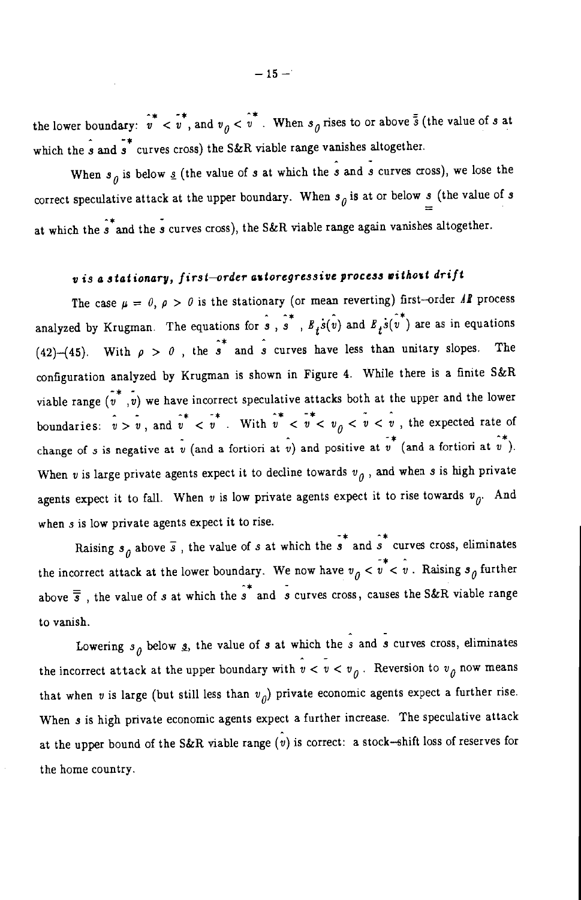the lower boundary:  $v^*$   $\sigma^*$ , and  $v_{\theta} < v^*$ . When  $s_{\theta}$  rises to or above  $\bar{3}$  (the value of s at which the  $\hat{s}$  and  $\hat{s}^*$  curves cross) the S&R viable range vanishes altogether.

When  $s_{\theta}$  is below  $\underline{s}$  (the value of s at which the s and s curves cross), we lose the correct speculative attack at the upper boundary. When  $s_{\theta}$  is at or below s (the value of s at which the  $\hat{s}^*$  and the s curves cross), the S&R viable range again vanishes altogether.

# v is a stationary, first-order autoregressive process without drift

The case  $\mu = 0$ ,  $\rho > 0$  is the stationary (or mean reverting) first-order Al process analyzed by Krugman. The equations for  $\hat{s}$ ,  $\hat{s}^*$ ,  $B_t \hat{s(v)}$  and  $B_t \hat{s(v^*)}$  are as in equations (42)-(45). With  $\rho > 0$ , the  $\hat{s}^*$  and  $\hat{s}$  curves have less than unitary slopes. The configuration analyzed by Krugman is shown in Figure 4. While there is a finite  $S\&R$ viable range  $(v^*, v)$  we have incorrect speculative attacks both at the upper and the lower boundaries:  $\hat{v} > \hat{v}$ , and  $\hat{v}^* < \hat{v}^*$ . With  $\hat{v}^* < \hat{v} < v_0 < \hat{v} < \hat{v}$ , the expected rate of change of s is negative at  $\hat{v}$  (and a fortiori at  $\hat{v}$ ) and positive at  $\hat{v}^*$  (and a fortiori at  $\hat{v}^*$ ). When v is large private agents expect it to decline towards  $v_a$ , and when s is high private agents expect it to fall. When v is low private agents expect it to rise towards  $v_{0}$ . And when  $s$  is low private agents expect it to rise.

Raising  $s_{\theta}$  above  $\overline{s}$ , the value of s at which the  $\overline{s}^*$  and  $\overline{s}^*$  curves cross, eliminates the incorrect attack at the lower boundary. We now have  $v_{\hat{\theta}} < v^* < v$ . Raising  $s_{\hat{\theta}}$  further above  $\overline{s}$ , the value of s at which the s<sup>\*</sup> and s curves cross, causes the S&R viable range to vanish.

Lowering  $s_{\theta}$  below *s*, the value of *s* at which the *s* and *s* curves cross, eliminates the incorrect attack at the upper boundary with  $v < v < v<sub>0</sub>$ . Reversion to  $v<sub>0</sub>$  now means that when v is large (but still less than  $v_{\Omega}$ ) private economic agents expect a further rise. When s is high private economic agents expect a further increase. The speculative attack at the upper bound of the S&R viable range  $\hat{v}$  is correct: a stock-shift loss of reserves for the home country.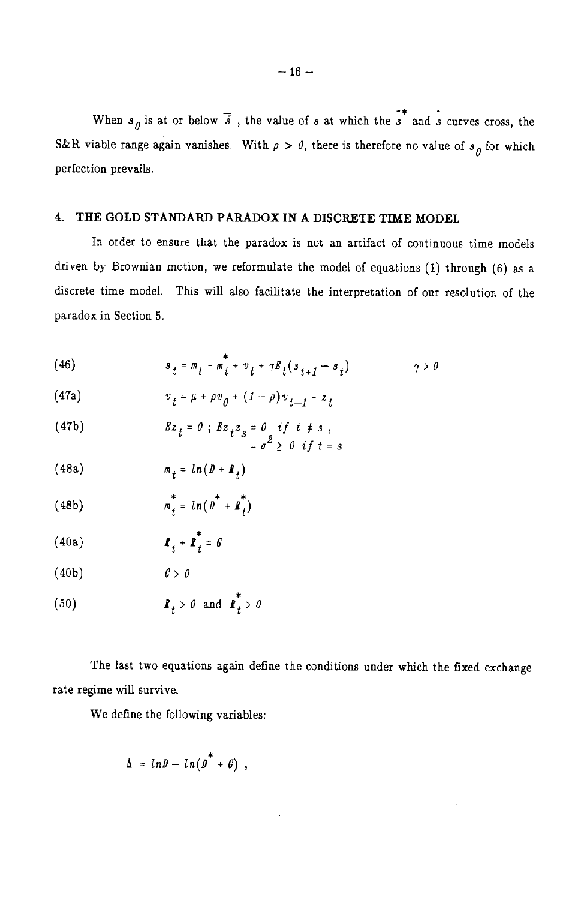When  $s_{\theta}$  is at or below  $\overline{3}$ , the value of s at which the s<sup>\*</sup> and s curves cross, the S&R viable range again vanishes. With  $\rho > 0$ , there is therefore no value of  $s_0$  for which perfection prevails.

# 4. THE GOLD STANDARD PARADOX IN A DISCRETE TIME MODEL

In order to ensure that the paradox is not an artifact of continuous time models driven by Brownian motion, we reformulate the model of equations (1) through (6) as a discrete time model. This will also facilitate the interpretation of our resolution of the paradox in Section 5.

(46) 
$$
s_t = m_t - m_t^* + v_t + \gamma B_t (s_{t+1} - s_t) \qquad \gamma > 0
$$

(47a) 
$$
v_t = \mu + \rho v_0 + (1 - \rho) v_{t-1} + z_t
$$

(47b) 
$$
Bz_{t} = 0; Bz_{t}z_{s} = 0 if t \neq s,
$$

$$
= \sigma^{2} \geq 0 if t = s
$$

$$
(48a) \t\t m_t = ln(D + R_t)
$$

(48b) 
$$
m_t^* = ln(D^* + P_t^*)
$$

$$
\mathbf{R}_t > 0 \text{ and } \mathbf{R}_t > 0
$$

The last two equations again define the conditions under which the fixed exchange rate regime will survive.

We define the following variables:

$$
\Delta = ln D - ln(D^* + G),
$$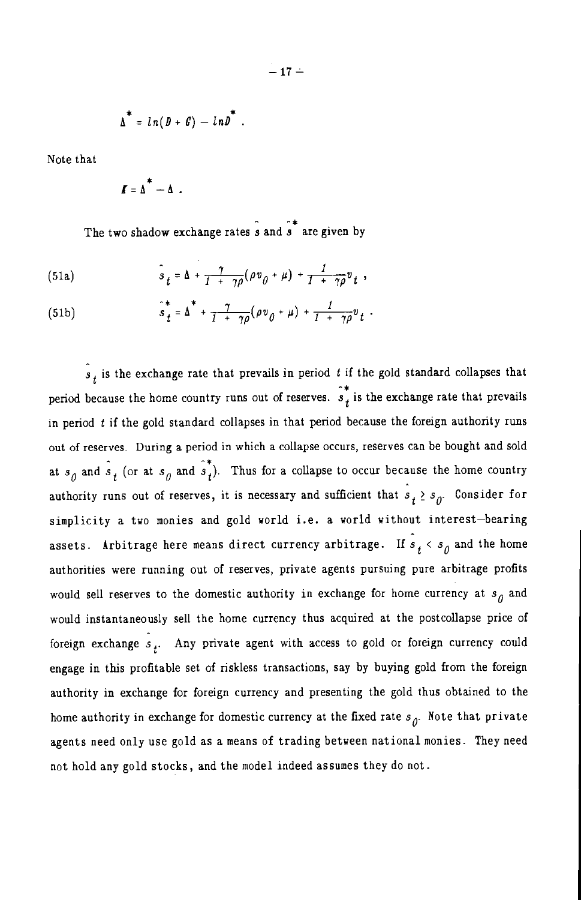$$
\Delta^* = ln(D + G) - lnD^*.
$$

Note that

$$
\boldsymbol{I} = \boldsymbol{\Delta}^* - \boldsymbol{\Delta} \ .
$$

The two shadow exchange rates  $\hat{s}$  and  $\hat{s}^*$  are given by

(51a) 
$$
\hat{s}_t = \Delta + \frac{\gamma}{1 + \gamma \rho} (\rho v_0 + \mu) + \frac{1}{1 + \gamma \rho} v_t,
$$

(51b) 
$$
\hat{s}_t^* = \Delta^* + \frac{\gamma}{1 + \gamma \rho} (\rho v_\theta + \mu) + \frac{1}{1 + \gamma \rho} v_t.
$$

 $s_t$  is the exchange rate that prevails in period t if the gold standard collapses that period because the home country runs out of reserves.  $\hat{s}^*$  is the exchange rate that prevails in period  $t$  if the gold standard collapses in that period because the foreign authority runs out of reserves. During a period in which a collapse occurs, reserves can be bought and sold at  $s_0$  and  $\hat{s}_t$  (or at  $s_0$  and  $\hat{s}_t$ ). Thus for a collapse to occur because the home country authority runs out of reserves, it is necessary and sufficient that  $\hat{s}_t \geq s_{\hat{d}}$ . Consider for simplicity a two monies and gold world i.e. a world without interest-bearing assets. Arbitrage here means direct currency arbitrage. If  $s_1 < s_0$  and the home authorities were running out of reserves, private agents pursuing pure arbitrage profits would sell reserves to the domestic authority in exchange for home currency at  $s_a$  and would instantaneously sell the home currency thus acquired at the postcollapse price of foreign exchange  $s_+$ . Any private agent with access to gold or foreign currency could engage in this profitable set of riskless transactions, say by buying gold from the foreign authority in exchange for foreign currency and presenting the gold thus obtained to the home authority in exchange for domestic currency at the fixed rate  $s_{\theta}$ . Note that private agents need only use gold as a means of trading between national monies. They need not hold any gold stocks, and the model indeed assumes they do not.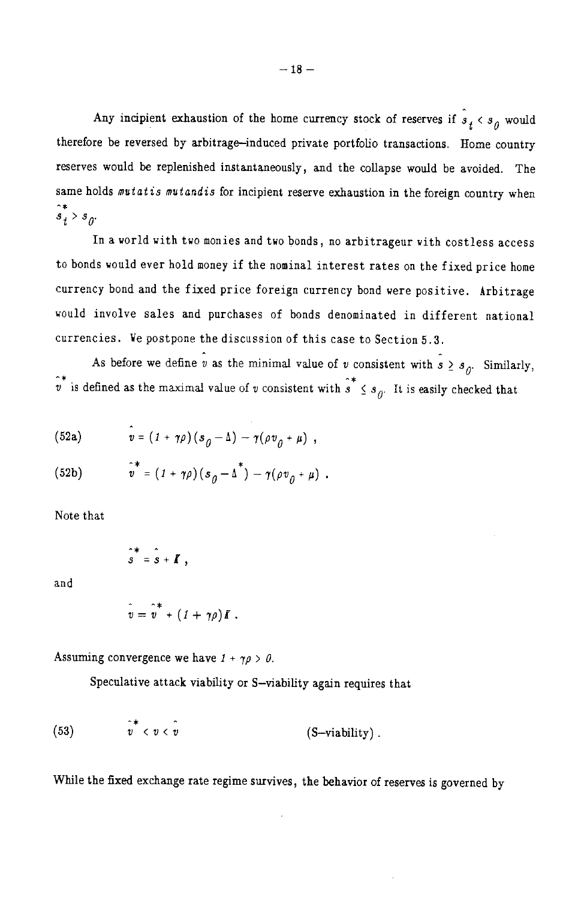Any incipient exhaustion of the home currency stock of reserves if  $s_1 < s_0$  would therefore be reversed by arbitrage-induced private portfolio transactions. Home country reserves would be replenished instantaneously, and the collapse would be avoided. The same holds mutatis mutandis for incipient reserve exhaustion in the foreign country when  $\hat{s}_j^* > s_{\hat{a}_j}$ 

In a world with two monies and two bonds, no arbitrageur with costless access to bonds would ever hold money if the nominal interest rates on the fixed price home currency bond and the fixed price foreign currency bond were positive. Arbitrage would involve sales and purchases of bonds denominated in different national currencies. We postpone the discussion of this case to Section 5.3.

As before we define  $\hat{v}$  as the minimal value of v consistent with  $\hat{s} \geq s_{\hat{U}}$ . Similarly,  $\hat{v}^*$  is defined as the maximal value of v consistent with  $\hat{s}^* \leq s_{\theta}$ . It is easily checked that

(52a) 
$$
\hat{v} = (1 + \gamma \rho) (s_0 - \Delta) - \gamma (\rho v_0 + \mu) ,
$$

(52b) 
$$
\hat{v}^* = (1 + \gamma \rho)(s_{\theta} - \Delta^*) - \gamma(\rho v_{\theta} + \mu).
$$

Note that

$$
\hat{s}^* = \hat{s} + \mathbf{I} \ ,
$$

and

$$
v = \hat{v}^* + (1 + \gamma \rho) \mathbf{I} .
$$

Assuming convergence we have  $1 + \gamma \rho > 0$ .

Speculative attack viability or S-viability again requires that

(53) 
$$
v^* < v < v \qquad (S-\text{viability}) .
$$

While the fixed exchange rate regime survives, the behavior of reserves is governed by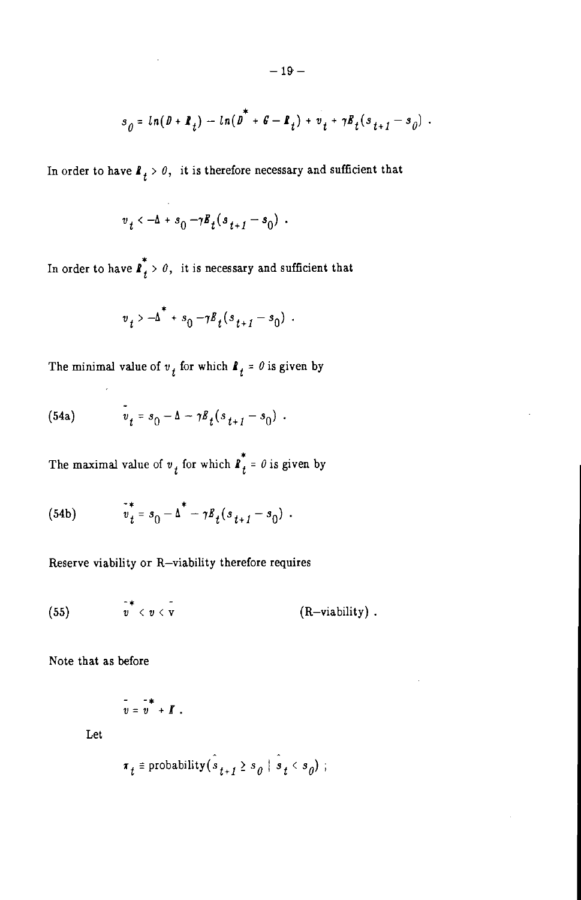$$
s_{\theta} = \ln(\theta + \mathbf{R}_t) - \ln(\theta^* + \theta - \mathbf{R}_t) + v_t + \gamma \mathbf{R}_t (s_{t+1} - s_{\theta}).
$$

In order to have  $\mathbf{I}_t > \theta$ , it is therefore necessary and sufficient that

$$
v_t \leftarrow \Delta + s_0 - \gamma B_t (s_{t+1} - s_0) \enspace .
$$

In order to have  $\overrightarrow{l}_{t}$  > 0, it is necessary and sufficient that

$$
v_t > -\Delta^* + s_0 - \gamma B_t (s_{t+1} - s_0)
$$
.

The minimal value of  $v_t$  for which  $I_t = 0$  is given by

(54a) 
$$
v_t = s_0 - \Delta - \gamma B_t (s_{t+1} - s_0)
$$
.

The maximal value of  $v_t$  for which  $\boldsymbol{I}_t^* = \theta$  is given by

(54b) 
$$
v_t^* = s_0 - \Delta^* - \gamma B_t (s_{t+1} - s_0).
$$

Reserve viability or R-viability therefore requires

(55) 
$$
\overline{v}^* < v < \overline{v}
$$
 (R–viability).

Note that as before

$$
v = v^* + I.
$$

Let

$$
r_t \equiv \text{probability}(s_{t+1} \ge s_0 \mid s_t < s_0);
$$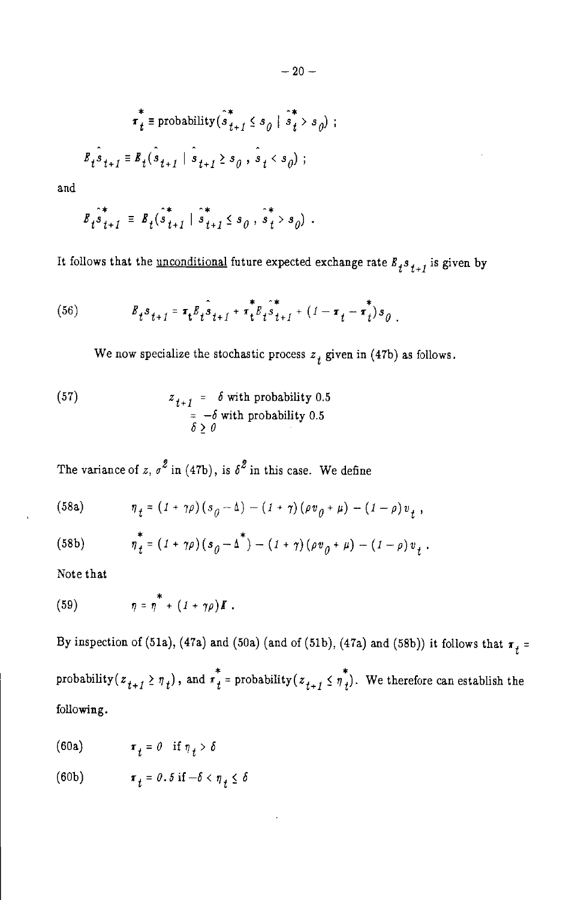$$
\pi_t^* \equiv \text{probability}(\hat{s}_{t+1}^* \le s_\theta \mid \hat{s}_t^* > s_\theta)
$$

$$
\mathbb{F}_t \hat{s}_{t+1} = \mathbb{E}_t(\hat{s}_{t+1} \mid \hat{s}_{t+1} \ge s_\theta, \hat{s}_t < s_\theta);
$$

and

$$
B_{t} \hat{\dot{s}}_{t+1}^{*} = B_{t} (\hat{\dot{s}}_{t+1}^{*} | \hat{\dot{s}}_{t+1}^{*} \leq s_{0}, \hat{\dot{s}}_{t}^{*} > s_{0}).
$$

It follows that the <u>unconditional</u> future expected exchange rate  $\boldsymbol{E}_t \boldsymbol{s}_{t+1}$  is given by

(56) 
$$
E_t s_{t+1} = \tau_t E_t \hat{s}_{t+1} + \tau_t^* E_t \hat{s}_{t+1}^* + (1 - \tau_t - \tau_t^*) s_{0}
$$

We now specialize the stochastic process  $z_t$  given in (47b) as follows.

(57) 
$$
z_{t+1} = \delta \text{ with probability } 0.5
$$

$$
= -\delta \text{ with probability } 0.5
$$

$$
\delta \ge 0
$$

The variance of z,  $\sigma^2$  in (47b), is  $\delta^2$  in this case. We define

(58a) 
$$
\eta_t = (1 + \gamma \rho) (s_0 - \Delta) - (1 + \gamma) (\rho v_0 + \mu) - (1 - \rho) v_t,
$$

 $\eta_{t}^{*} = (1 + \gamma \rho)(s_{0} - \Delta^{*}) - (1 + \gamma)(\rho v_{0} + \mu) - (1 - \rho)v_{t}$ .  $(58b)$ 

Note that

(59) 
$$
\eta = \eta^* + (1 + \gamma \rho) \boldsymbol{I} .
$$

By inspection of (51a), (47a) and (50a) (and of (51b), (47a) and (58b)) it follows that  $\tau_t$  = probability  $(z_{t+1} \geq \eta_t)$ , and  $\pi_t^*$  = probability  $(z_{t+1} \leq \eta_t^*)$ . We therefore can establish the following.

(60a)  $\boldsymbol{\pi}_t = \theta \quad \text{if } \eta_t > \delta$ 

(60b) 
$$
\pi_t = 0.5 \text{ if } -\delta < \eta_t \leq \delta
$$

 $\ddot{i}$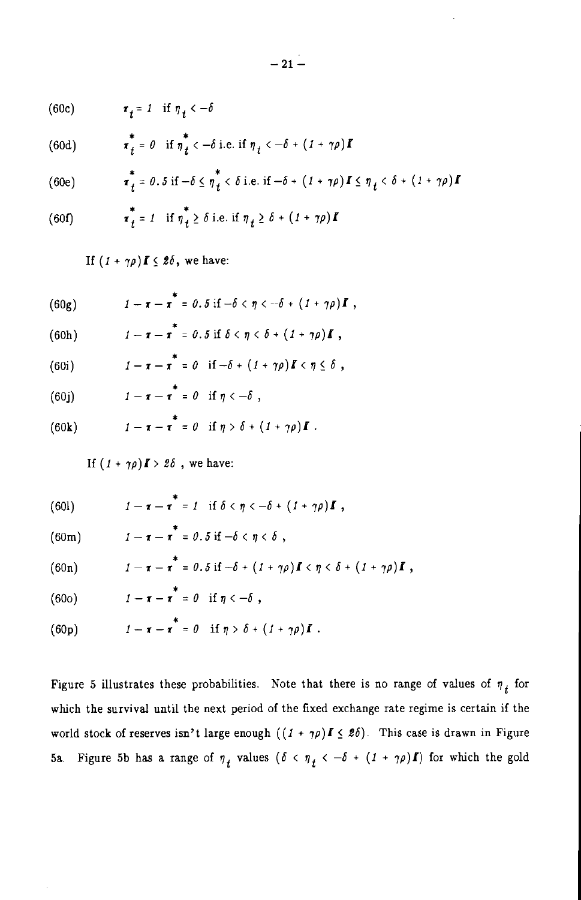$\tau_t = 1$  if  $\eta_t < -\delta$  $(60c)$ 

(60d) 
$$
\boldsymbol{\tau}_t^* = 0 \quad \text{if } \boldsymbol{\eta}_t < -\delta \text{ i.e. if } \boldsymbol{\eta}_t < -\delta + (1 + \gamma \rho) \boldsymbol{I}
$$

(60e) 
$$
\boldsymbol{\tau}_{t}^* = 0.5 \text{ if } -\delta \leq \eta_{t}^* < \delta \text{ i.e. if } -\delta + (1 + \gamma \rho) \boldsymbol{I} \leq \eta_{t} < \delta + (1 + \gamma \rho) \boldsymbol{I}
$$

(60f) 
$$
\tau_t^* = 1 \quad \text{if } \eta_t^* \ge \delta \text{ i.e. if } \eta_t \ge \delta + (1 + \gamma \rho)I
$$

If  $(1 + \gamma \rho)$   $I \leq 2\delta$ , we have:

| (60g) | $1 - \tau - \tau = 0.5$ if $-\delta < \eta < -\delta + (1 + \gamma \rho)I$ , |  |
|-------|------------------------------------------------------------------------------|--|

(60h) 
$$
1-\tau-\tau^*=0.5 \text{ if } \delta \leq \eta \leq \delta+(1+\gamma\rho)I,
$$

- $1-\tau-\tau^* = 0$  if  $-\delta + (1+\gamma \rho)K < \eta \leq \delta$ ,  $(60i)$
- $1-\tau-\tau^*=0$  if  $\eta<-\delta$ ,  $(60j)$

(60k) 
$$
1 - \tau - \tau^* = 0 \quad \text{if } \eta > \delta + (1 + \gamma \rho) \mathbf{I}.
$$

If  $(1 + \gamma \rho)I > 2\delta$ , we have:

 $1 - \tau - \tau^* = 1$  if  $\delta < \eta < -\delta + (1 + \gamma \rho)I$ ,  $(601)$ 

(60m) 
$$
1-\tau-\tau^*=0.5 \text{ if } -\delta < \eta < \delta,
$$

(60n) 
$$
1-\tau-\tau^* = 0.5 \text{ if } -\delta + (1+\gamma\rho)I < \eta < \delta + (1+\gamma\rho)I,
$$

$$
(60o) \t\t\t 1-\tau-\tau^* = 0 \t \text{if } \eta < -\delta ,
$$

(60p) 
$$
1-\tau-\tau^* = 0 \quad \text{if } \eta > \delta + (1+\gamma \rho)I.
$$

Figure 5 illustrates these probabilities. Note that there is no range of values of  $\eta_t$  for which the survival until the next period of the fixed exchange rate regime is certain if the world stock of reserves isn't large enough  $((1 + \gamma \rho)I \leq 2\delta)$ . This case is drawn in Figure 5a. Figure 5b has a range of  $\eta_t$  values  $(\delta < \eta_t < -\delta + (1 + \gamma \rho)I)$  for which the gold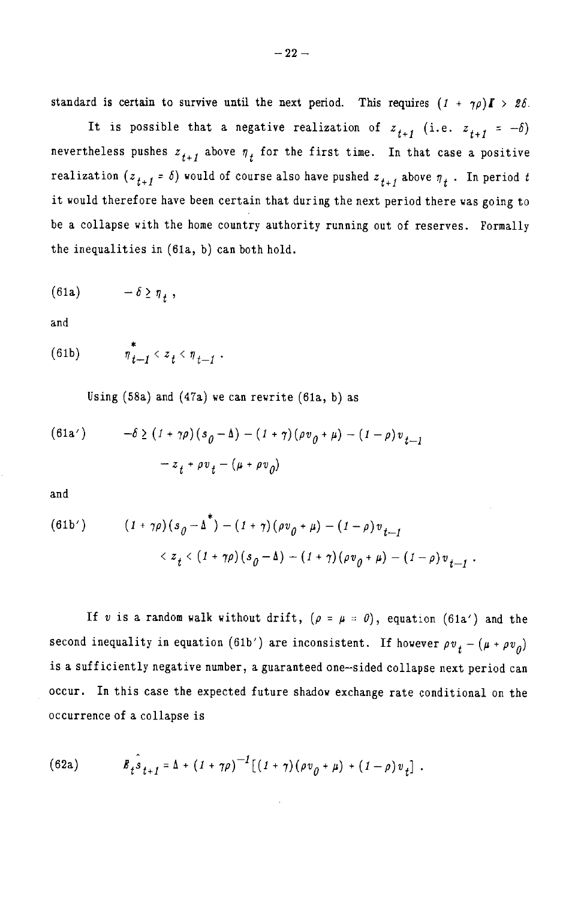standard is certain to survive until the next period. This requires  $(1 + \gamma \rho) \mathbf{I} > 2\delta$ .

It is possible that a negative realization of  $z_{t+1}$  (i.e.  $z_{t+1} = -\delta$ ) nevertheless pushes  $z_{t+1}$  above  $\eta_t$  for the first time. In that case a positive realization  $(z_{t+1} = \delta)$  would of course also have pushed  $z_{t+1}$  above  $\eta_t$ . In period t it would therefore have been certain that during the next period there was going to be a collapse with the home country authority running out of reserves. Formally the inequalities in (61a, b) can both hold.

$$
(61a) \t\t -\delta \geq \eta+,
$$

and

$$
\text{(61b)} \qquad \qquad \eta^*_{t-1} < z_t < \eta_{t-1} \; .
$$

Using  $(58a)$  and  $(47a)$  we can rewrite  $(61a, b)$  as

(61a') 
$$
-\delta \ge (1 + \gamma \rho) (s_0 - \Delta) - (1 + \gamma) (\rho v_0 + \mu) - (1 - \rho) v_{t-1} - z_t + \rho v_t - (\mu + \rho v_0)
$$

and

l

(61b') 
$$
(1 + \gamma \rho)(s_{\theta} - \Delta) - (1 + \gamma)(\rho v_{\theta} + \mu) - (1 - \rho)v_{t-1} < z_t < (1 + \gamma \rho)(s_{\theta} - \Delta) - (1 + \gamma)(\rho v_{\theta} + \mu) - (1 - \rho)v_{t-1}.
$$

If v is a random walk without drift,  $(\rho = \mu = 0)$ , equation (61a') and the second inequality in equation (61b') are inconsistent. If however  $\rho v_t - (\mu + \rho v_0)$ is a sufficiently negative number, a guaranteed one-sided collapse next period can occur. In this case the expected future shadow exchange rate conditional on the occurrence of a collapse is

(62a) 
$$
E_t \hat{S}_{t+1} = \Delta + (1 + \gamma \rho)^{-1} [(1 + \gamma) (\rho v_{0} + \mu) + (1 - \rho) v_{t}].
$$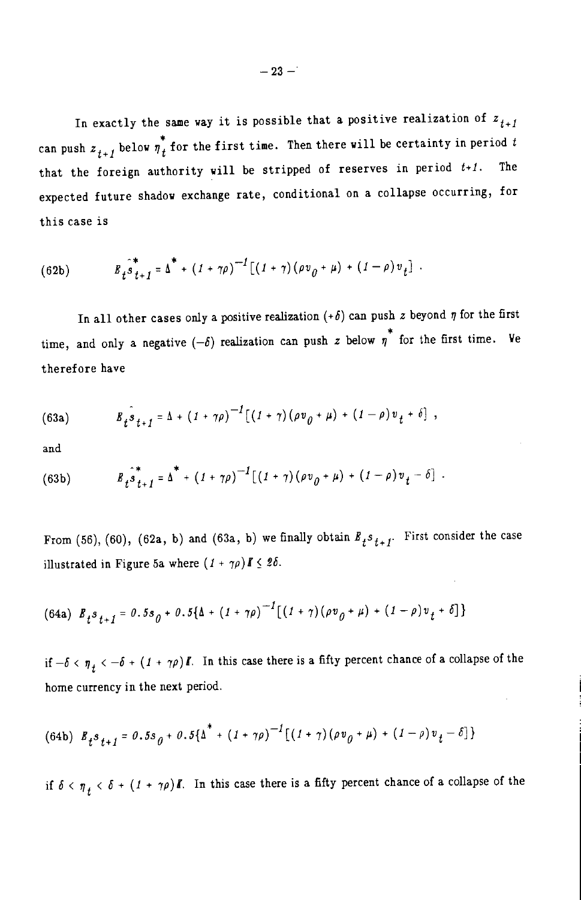In exactly the same way it is possible that a positive realization of  $z_{i+1}$ can push  $z_{t+1}$  below  $\eta_t^*$  for the first time. Then there will be certainty in period t that the foreign authority will be stripped of reserves in period  $t+1$ . The expected future shadow exchange rate, conditional on a collapse occurring, for this case is

(62b) 
$$
B_{t} \hat{S}_{t+1}^{*} = \Delta^{*} + (1 + \gamma \rho)^{-1} [(1 + \gamma) (\rho v_{0} + \mu) + (1 - \rho) v_{t}].
$$

In all other cases only a positive realization  $(+\delta)$  can push z beyond  $\eta$  for the first time, and only a negative  $(-\delta)$  realization can push z below  $\eta^*$  for the first time. We therefore have

(63a) 
$$
B_t \hat{s}_{t+1} = \Delta + (1 + \gamma \rho)^{-1} [(1 + \gamma) (\rho v_{0} + \mu) + (1 - \rho) v_t + \delta],
$$

and

(63b) 
$$
B_t \stackrel{\circ}{s}_{t+1}^* = \Delta^* + (1 + \gamma \rho)^{-1} [(1 + \gamma) (\rho v_{\rho} + \mu) + (1 - \rho) v_t - \delta].
$$

From (56), (60), (62a, b) and (63a, b) we finally obtain  $R_t s_{t+1}$ . First consider the case illustrated in Figure 5a where  $(1 + \gamma \rho) \mathbf{I} \leq 2\delta$ .

(64a) 
$$
B_t s_{t+1} = 0.5 s_0 + 0.5 [\Delta + (1 + \gamma \rho)^{-1} [(1 + \gamma) (\rho v_0 + \mu) + (1 - \rho) v_t + \delta]
$$

if  $-\delta < \eta_t < -\delta + (1 + \gamma \rho)I$ . In this case there is a fifty percent chance of a collapse of the home currency in the next period.

$$
(64b) \ \ B_{t} s_{t+1} = 0.5 s_{0} + 0.5\{\Delta^{*} + (1 + \gamma \rho)^{-1} [(1 + \gamma) (\rho v_{0} + \mu) + (1 - \rho) v_{t} - \delta] \}
$$

if  $\delta < \eta_{+} < \delta + (1 + \gamma \rho)I$ . In this case there is a fifty percent chance of a collapse of the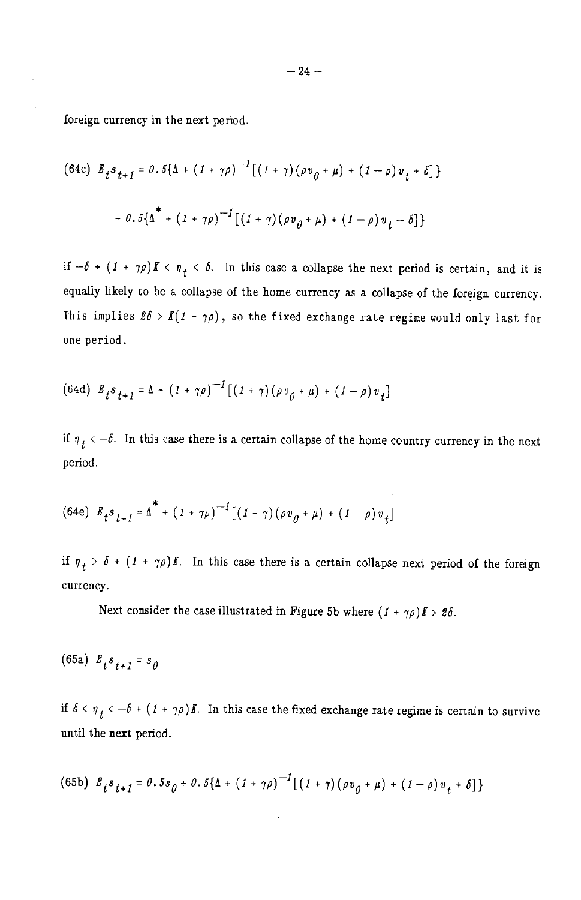foreign currency in the next period.

(64c) 
$$
E_t s_{t+1} = 0.5{\{\Delta + (1 + \gamma \rho)^{-1}\left[(1 + \gamma)(\rho v_{0} + \mu) + (1 - \rho)v_t + \delta\right]\}}
$$
  
+  $0.5{\{\Delta + (1 + \gamma \rho)^{-1}\left[(1 + \gamma)(\rho v_{0} + \mu) + (1 - \rho)v_t - \delta\right]\}}$ 

if  $-\delta + (1 + \gamma \rho) \mathbf{f} \le \eta_t \le \delta$ . In this case a collapse the next period is certain, and it is equally likely to be a collapse of the home currency as a collapse of the foreign currency. This implies  $2\delta > I(1 + \gamma \rho)$ , so the fixed exchange rate regime would only last for one period.

(64d) 
$$
E_t s_{t+1} = \Delta + (1 + \gamma \rho)^{-1} [(1 + \gamma) (\rho v_{\theta} + \mu) + (1 - \rho) v_t]
$$

if  $\eta_t$  < -6. In this case there is a certain collapse of the home country currency in the next period.

(64e) 
$$
E_t s_{t+1} = \Delta^* + (1 + \gamma \rho)^{-1} [(1 + \gamma) (\rho v_{0} + \mu) + (1 - \rho) v_t]
$$

if  $\eta_t > \delta + (1 + \gamma \rho)I$ . In this case there is a certain collapse next period of the foreign currency.

Next consider the case illustrated in Figure 5b where  $(1 + \gamma \rho) \mathbf{I} > 2\delta$ .

(65a)  $E_{t}s_{t+1} = s_0$ 

if  $\delta < \eta_t < -\delta + (1 + \gamma \rho)I$ . In this case the fixed exchange rate regime is certain to survive until the next period.

$$
(65b) \ \mathcal{B}_{t} s_{t+1} = 0.5 s_{0} + 0.5 \{\Delta + (1 + \gamma \rho)^{-1} [(1 + \gamma) (\rho v_{0} + \mu) + (1 - \rho) v_{t} + \delta] \}
$$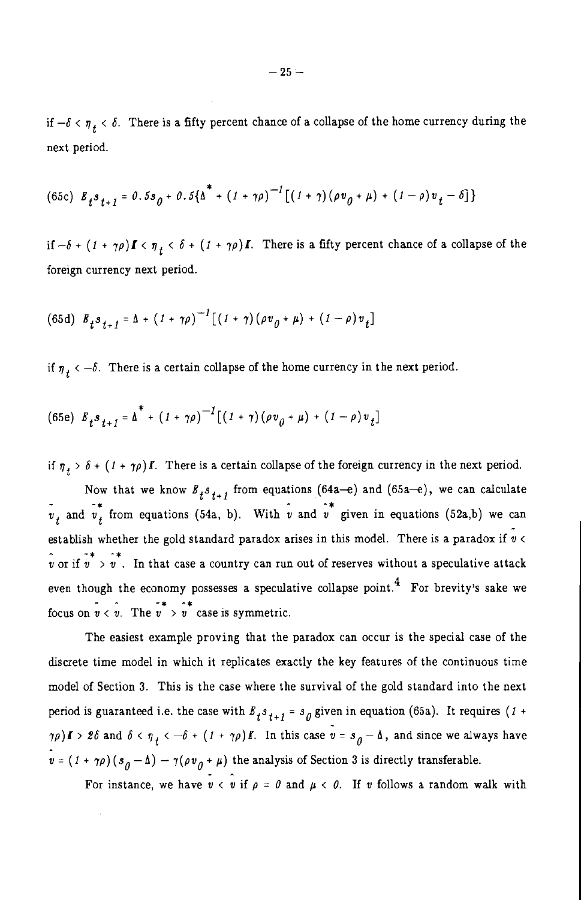if  $-\delta < \eta_t < \delta$ . There is a fifty percent chance of a collapse of the home currency during the next period.

(65c) 
$$
B_t s_{t+1} = 0.5 s_0 + 0.5 {\lambda^* + (1 + \gamma \rho)^{-1} [(1 + \gamma) (\rho v_0 + \mu) + (1 - \rho) v_t - \delta]}
$$

if  $-\delta + (1 + \gamma \rho)I \le \eta_t \le \delta + (1 + \gamma \rho)I$ . There is a fifty percent chance of a collapse of the foreign currency next period.

(65d) 
$$
B_t s_{t+1} = \Delta + (1 + \gamma \rho)^{-1} [(1 + \gamma) (\rho v_{0} + \mu) + (1 - \rho) v_t]
$$

if  $\eta_t < -\delta$ . There is a certain collapse of the home currency in the next period.

(65e) 
$$
E_t s_{t+1} = \Delta^* + (1 + \gamma \rho)^{-1} [ (1 + \gamma) (\rho v_{\theta} + \mu) + (1 - \rho) v_t ]
$$

if  $\eta_+ > \delta + (1 + \gamma \rho)I$ . There is a certain collapse of the foreign currency in the next period.

Now that we know  $B_{j}s_{j+1}$  from equations (64a-e) and (65a-e), we can calculate  $\overrightarrow{v}_t$  and  $\overrightarrow{v}_t$  from equations (54a, b). With  $\hat{v}$  and  $\hat{v}^*$  given in equations (52a,b) we can establish whether the gold standard paradox arises in this model. There is a paradox if  $\vec{v}$  <  $\hat{v}$  or if  $\hat{v}$   $> \hat{v}$ . In that case a country can run out of reserves without a speculative attack even though the economy possesses a speculative collapse point.<sup>4</sup> For brevity's sake we focus on  $v < v$ . The  $v \rightarrow v$  case is symmetric.

The easiest example proving that the paradox can occur is the special case of the discrete time model in which it replicates exactly the key features of the continuous time model of Section 3. This is the case where the survival of the gold standard into the next period is guaranteed i.e. the case with  $B_t s_{t+1} = s_0$  given in equation (65a). It requires (1+  $\tau(\rho)$   $I > 2\delta$  and  $\delta < \eta_{+} < -\delta + (1 + \gamma \rho)I$ . In this case  $v = s_0 - \Delta$ , and since we always have  $\hat{v} = (1 + \gamma \rho)(s_{\rho} - \Delta) - \gamma(\rho v_{\rho} + \mu)$  the analysis of Section 3 is directly transferable.

For instance, we have  $v < v$  if  $\rho = 0$  and  $\mu < 0$ . If v follows a random walk with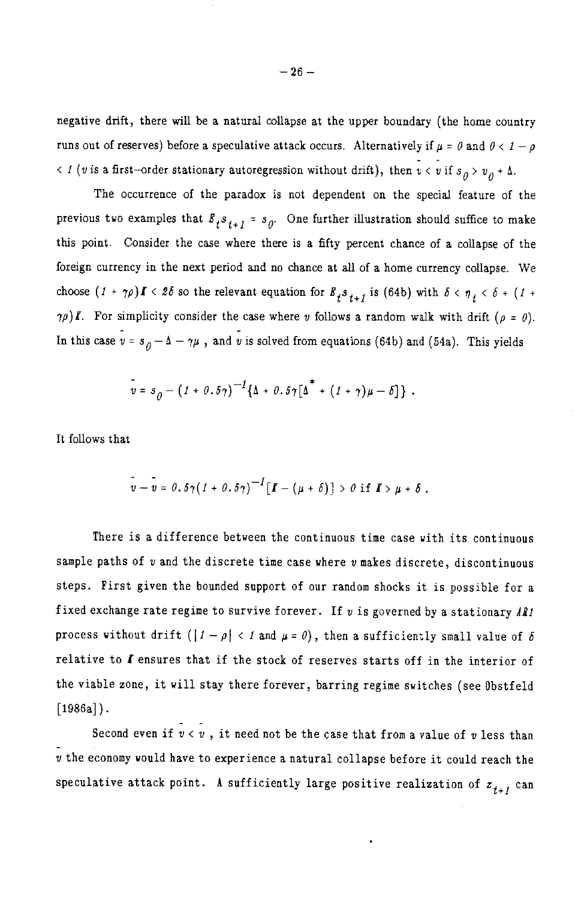negative drift, there will be a natural collapse at the upper boundary (the home country runs out of reserves) before a speculative attack occurs. Alternatively if  $\mu = \theta$  and  $\theta < 1 - \rho$ < 1 (v is a first-order stationary autoregression without drift), then  $v < v$  if  $s_0 > v_0 + \Delta$ .

The occurrence of the paradox is not dependent on the special feature of the previous two examples that  $B_t s_{t+1} = s_0$ . One further illustration should suffice to make this point. Consider the case where there is a fifty percent chance of a collapse of the foreign currency in the next period and no chance at all of a home currency collapse. We choose  $(I + \gamma \rho) I \le 2\delta$  so the relevant equation for  $B_t s_{t+1}$  is (64b) with  $\delta \le \eta_t \le \delta + (I +$  $\gamma \rho$ ) *I*. For simplicity consider the case where v follows a random walk with drift ( $\rho = 0$ ). In this case  $v = s_0 - \Delta - \gamma \mu$ , and v is solved from equations (64b) and (54a). This yields

$$
\bar{v} = s_{\theta} - (1 + 0.5\gamma)^{-1} \{\Delta + 0.5\gamma [\Delta^* + (1 + \gamma)\mu - \delta] \}.
$$

It follows that

$$
\hat{v}-\bar{v}=\theta.\,5\gamma\big(\textit{1}+\theta.\,5\gamma\big)^{-1}\big[\textit{I}-(\mu+\delta)\big]>\theta\,\,\text{if}\,\,\textit{I}\!\!I>\mu+\delta\ .
$$

There is a difference between the continuous time case with its continuous sample paths of  $v$  and the discrete time case where  $v$  makes discrete, discontinuous steps. First given the bounded support of our random shocks it is possible for a fixed exchange rate regime to survive forever. If  $v$  is governed by a stationary AR1 process without drift  $(|1 - \rho| < 1$  and  $\mu = \theta)$ , then a sufficiently small value of  $\delta$ relative to I ensures that if the stock of reserves starts off in the interior of the viable zone, it will stay there forever, barring regime switches (see Obstfeld  $[1986a]$ .

Second even if  $\tilde{v} < \hat{v}$ , it need not be the case that from a value of v less than v the economy would have to experience a natural collapse before it could reach the speculative attack point. A sufficiently large positive realization of  $z_{t+1}$  can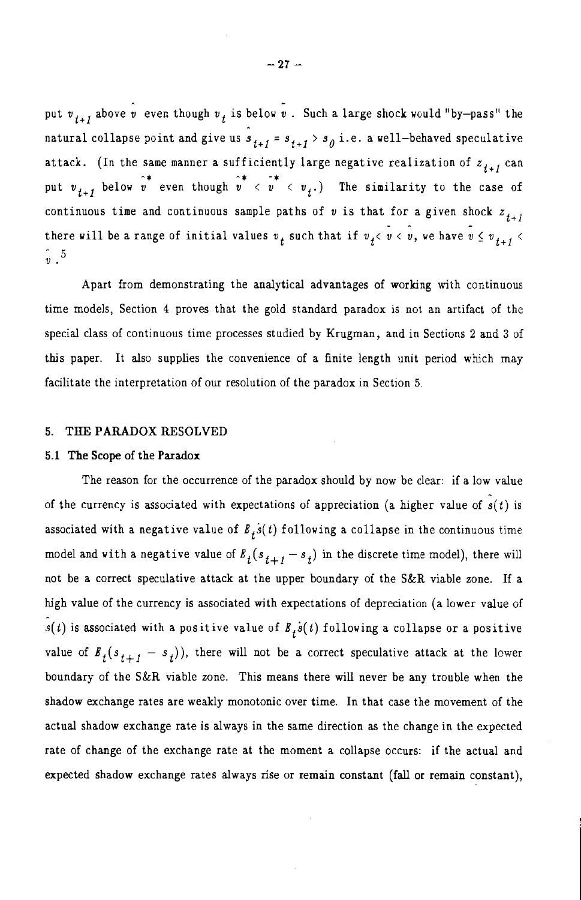put  $v_{i+1}$  above  $\hat{v}$  even though  $v_i$  is below  $\hat{v}$ . Such a large shock would "by-pass" the natural collapse point and give us  $\hat{s}_{t+1} = s_{t+1} > s_0$  i.e. a well-behaved speculative attack. (In the same manner a sufficiently large negative realization of  $z_{t+1}$  can put  $v_{t+1}$  below  $v^*$  even though  $v^* < v_+$   $\rightarrow$  The similarity to the case of continuous time and continuous sample paths of v is that for a given shock  $z_{++}$ there will be a range of initial values  $v_t$  such that if  $v_t < v < v$ , we have  $v \leq v_{t+1} < v$  $\hat{v}$  5

Apart from demonstrating the analytical advantages of working with continuous time models, Section 4 proves that the gold standard paradox is not an artifact of the special class of continuous time processes studied by Krugman, and in Sections 2 and 3 of this paper. It also supplies the convenience of a finite length unit period which may facilitate the interpretation of our resolution of the paradox in Section 5.

#### THE PARADOX RESOLVED 5.

### 5.1 The Scope of the Paradox

The reason for the occurrence of the paradox should by now be clear: if a low value of the currency is associated with expectations of appreciation (a higher value of  $s(t)$  is associated with a negative value of  $E_t \dot{s}(t)$  following a collapse in the continuous time model and with a negative value of  $B_t(s_{t+1} - s_t)$  in the discrete time model), there will not be a correct speculative attack at the upper boundary of the S&R viable zone. If a high value of the currency is associated with expectations of depreciation (a lower value of  $s(t)$  is associated with a positive value of  $B_t \dot{s}(t)$  following a collapse or a positive value of  $B_t(s_{t+1} - s_t)$ , there will not be a correct speculative attack at the lower boundary of the S&R viable zone. This means there will never be any trouble when the shadow exchange rates are weakly monotonic over time. In that case the movement of the actual shadow exchange rate is always in the same direction as the change in the expected rate of change of the exchange rate at the moment a collapse occurs: if the actual and expected shadow exchange rates always rise or remain constant (fall or remain constant),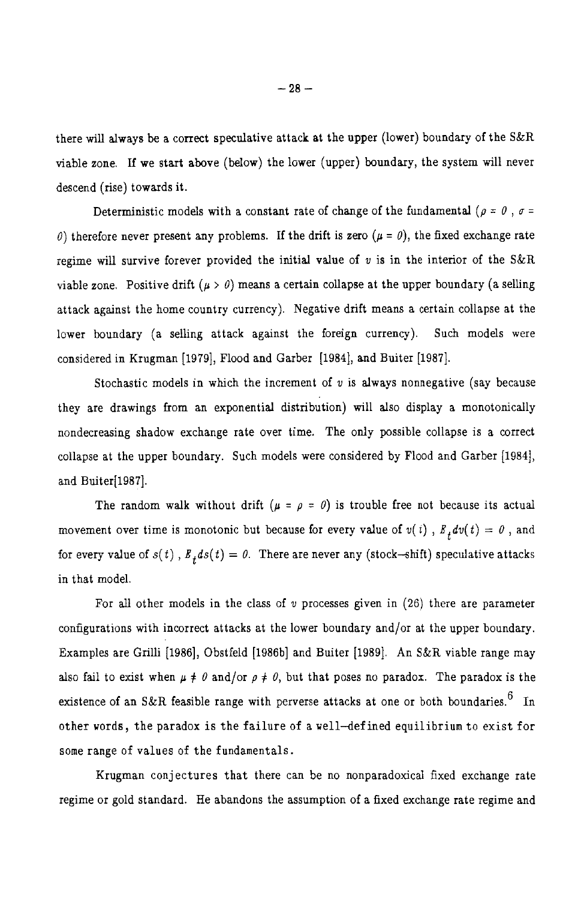there will always be a correct speculative attack at the upper (lower) boundary of the S&R viable zone. If we start above (below) the lower (upper) boundary, the system will never descend (rise) towards it.

Deterministic models with a constant rate of change of the fundamental ( $\rho = 0$ ,  $\sigma =$  $\theta$ ) therefore never present any problems. If the drift is zero ( $\mu = \theta$ ), the fixed exchange rate regime will survive forever provided the initial value of  $v$  is in the interior of the S&R viable zone. Positive drift ( $\mu > 0$ ) means a certain collapse at the upper boundary (a selling attack against the home country currency). Negative drift means a certain collapse at the lower boundary (a selling attack against the foreign currency). Such models were considered in Krugman [1979], Flood and Garber [1984], and Buiter [1987].

Stochastic models in which the increment of  $v$  is always nonnegative (say because they are drawings from an exponential distribution) will also display a monotonically nondecreasing shadow exchange rate over time. The only possible collapse is a correct collapse at the upper boundary. Such models were considered by Flood and Garber [1984], and Buiter[1987].

The random walk without drift ( $\mu = \rho = 0$ ) is trouble free not because its actual movement over time is monotonic but because for every value of  $v(t)$ ,  $E_t dv(t) = 0$ , and for every value of  $s(t)$ ,  $B_t ds(t) = 0$ . There are never any (stock-shift) speculative attacks in that model.

For all other models in the class of  $v$  processes given in  $(26)$  there are parameter configurations with incorrect attacks at the lower boundary and/or at the upper boundary. Examples are Grilli [1986], Obstfeld [1986b] and Buiter [1989]. An S&R viable range may also fail to exist when  $\mu \neq 0$  and/or  $\rho \neq 0$ , but that poses no paradox. The paradox is the existence of an S&R feasible range with perverse attacks at one or both boundaries.<sup>6</sup> In other words, the paradox is the failure of a well-defined equilibrium to exist for some range of values of the fundamentals.

Krugman conjectures that there can be no nonparadoxical fixed exchange rate regime or gold standard. He abandons the assumption of a fixed exchange rate regime and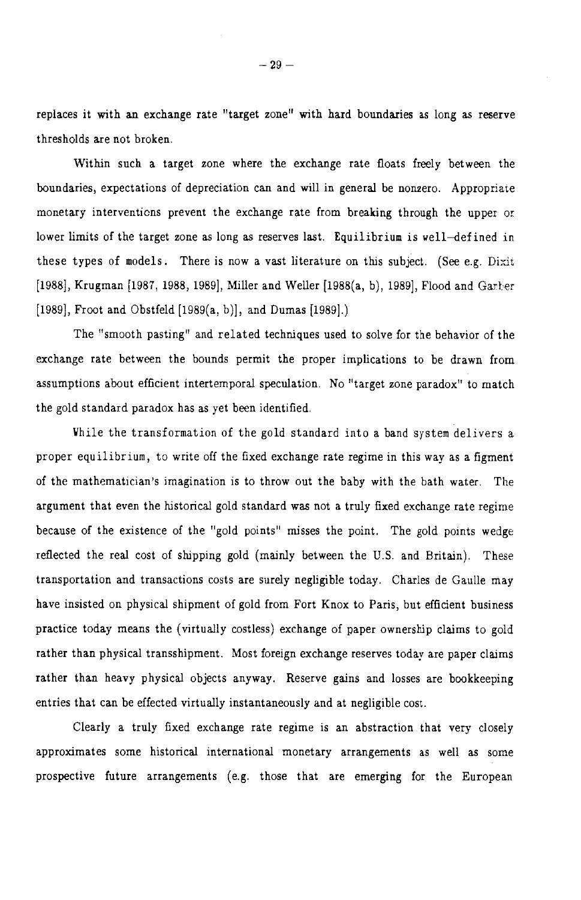replaces it with an exchange rate "target zone" with hard boundaries as long as reserve thresholds are not broken.

Within such a target zone where the exchange rate floats freely between the boundaries, expectations of depreciation can and will in general be nonzero. Appropriate monetary interventions prevent the exchange rate from breaking through the upper or lower limits of the target zone as long as reserves last. Equilibrium is well-defined in these types of models. There is now a vast literature on this subject. (See e.g. Dixit [1988], Krugman [1987, 1988, 1989], Miller and Weller [1988(a, b), 1989], Flood and Garber [1989], Froot and Obstfeld [1989(a, b)], and Dumas [1989].)

The "smooth pasting" and related techniques used to solve for the behavior of the exchange rate between the bounds permit the proper implications to be drawn from assumptions about efficient intertemporal speculation. No "target zone paradox" to match the gold standard paradox has as yet been identified.

While the transformation of the gold standard into a band system delivers a proper equilibrium, to write off the fixed exchange rate regime in this way as a figment of the mathematician's imagination is to throw out the baby with the bath water. The argument that even the historical gold standard was not a truly fixed exchange rate regime because of the existence of the "gold points" misses the point. The gold points wedge reflected the real cost of shipping gold (mainly between the U.S. and Britain). These transportation and transactions costs are surely negligible today. Charles de Gaulle may have insisted on physical shipment of gold from Fort Knox to Paris, but efficient business practice today means the (virtually costless) exchange of paper ownership claims to gold rather than physical transshipment. Most foreign exchange reserves today are paper claims rather than heavy physical objects anyway. Reserve gains and losses are bookkeeping entries that can be effected virtually instantaneously and at negligible cost.

Clearly a truly fixed exchange rate regime is an abstraction that very closely approximates some historical international monetary arrangements as well as some prospective future arrangements (e.g. those that are emerging for the European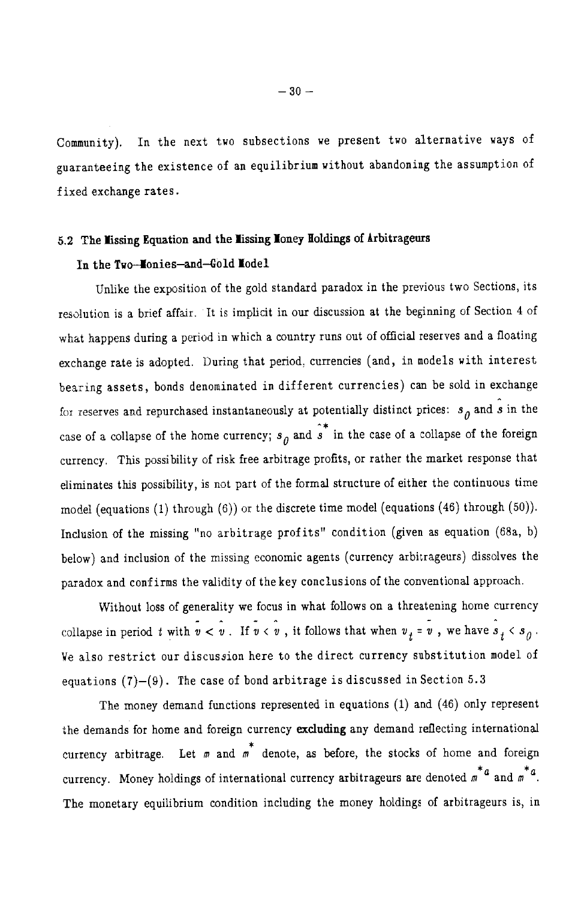Community). In the next two subsections we present two alternative ways of guaranteeing the existence of an equilibrium without abandoning the assumption of fixed exchange rates.

# 5.2 The Missing Equation and the Missing Money Holdings of Arbitrageurs

# In the Two-Monies-and-Gold Model

Unlike the exposition of the gold standard paradox in the previous two Sections, its resolution is a brief affair. It is implicit in our discussion at the beginning of Section 4 of what happens during a period in which a country runs out of official reserves and a floating exchange rate is adopted. During that period, currencies (and, in models with interest bearing assets, bonds denominated in different currencies) can be sold in exchange for reserves and repurchased instantaneously at potentially distinct prices:  $s_0$  and  $\hat{s}$  in the case of a collapse of the home currency;  $s_n$  and  $\hat{s}^*$  in the case of a collapse of the foreign currency. This possibility of risk free arbitrage profits, or rather the market response that eliminates this possibility, is not part of the formal structure of either the continuous time model (equations (1) through (6)) or the discrete time model (equations (46) through  $(50)$ ). Inclusion of the missing "no arbitrage profits" condition (given as equation (68a, b) below) and inclusion of the missing economic agents (currency arbitrageurs) dissolves the paradox and confirms the validity of the key conclusions of the conventional approach.

Without loss of generality we focus in what follows on a threatening home currency collapse in period t with  $v < v$ . If  $v < v$ , it follows that when  $v_+ = v$ , we have  $s_+ < s_0$ . We also restrict our discussion here to the direct currency substitution model of equations  $(7)-(9)$ . The case of bond arbitrage is discussed in Section 5.3

The money demand functions represented in equations (1) and (46) only represent the demands for home and foreign currency excluding any demand reflecting international currency arbitrage. Let  $m$  and  $m$ <sup>\*</sup> denote, as before, the stocks of home and foreign currency. Money holdings of international currency arbitrageurs are denoted  $\pi^*$ <sup>4</sup> and  $\pi^*$ <sup>4</sup>. The monetary equilibrium condition including the money holdings of arbitrageurs is, in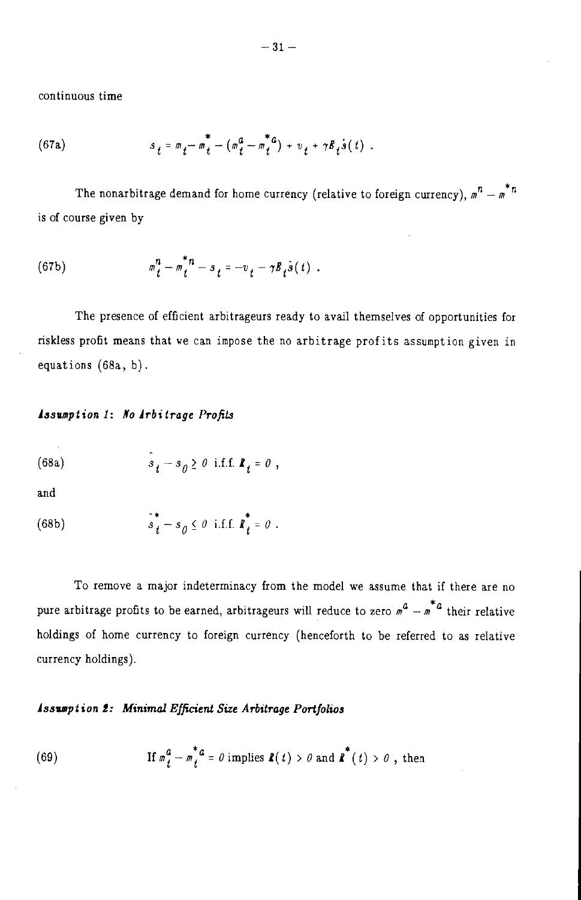continuous time

(67a) 
$$
s_t = m_t - m_t^* - (m_t^a - m_t^{*a}) + v_t + \gamma B_t \dot{s}(t) .
$$

The nonarbitrage demand for home currency (relative to foreign currency),  $m^{n} - m^{*n}$ is of course given by

(67b) 
$$
m_t^n - m_t^{*n} - s_t = -v_t - \gamma B_t \dot{s}(t) .
$$

The presence of efficient arbitrageurs ready to avail themselves of opportunities for riskless profit means that we can impose the no arbitrage profits assumption given in equations  $(68a, b)$ .

## Assumption 1: No Arbitrage Profits

$$
(68a)
$$

$$
s_t - s_0 \ge 0
$$
 i.f.f.  $\mathbf{R}_t = 0$ 

and

 $\hat{s}_t^* - s_{\theta} \leq \theta$  i.f.f.  $\hat{\boldsymbol{k}_t^*} = \theta$  .  $(68b)$ 

To remove a major indeterminacy from the model we assume that if there are no pure arbitrage profits to be earned, arbitrageurs will reduce to zero  $m^2 - m^*$  their relative holdings of home currency to foreign currency (henceforth to be referred to as relative currency holdings).

# **Assumption 2: Minimal Efficient Size Arbitrage Portfolios**

(69) If 
$$
m_t^a - m_t^* a = 0
$$
 implies  $\mathbf{R}(t) > 0$  and  $\mathbf{R}^*(t) > 0$ , then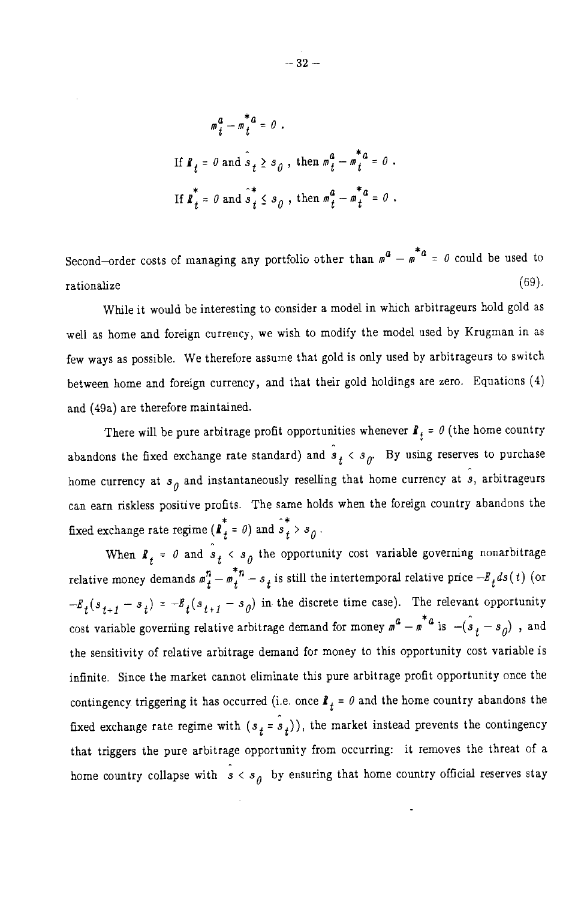$$
m_t^a - m_t^* a = 0.
$$
  
If  $\mathbf{R}_t = 0$  and  $\hat{s}_t \ge s_0$ , then  $m_t^a - m_t^* a = 0$ .  
If  $\mathbf{R}_t^* = 0$  and  $\hat{s}_t^* \le s_0$ , then  $m_t^a - m_t^* a = 0$ .

Second-order costs of managing any portfolio other than  $m^2 - m^* a = 0$  could be used to  $(69).$ rationalize

While it would be interesting to consider a model in which arbitrageurs hold gold as well as home and foreign currency, we wish to modify the model used by Krugman in as few ways as possible. We therefore assume that gold is only used by arbitrageurs to switch between home and foreign currency, and that their gold holdings are zero. Equations (4) and (49a) are therefore maintained.

There will be pure arbitrage profit opportunities whenever  $\mathbf{I}_t = \theta$  (the home country abandons the fixed exchange rate standard) and  $\hat{s}_t < s_{\theta}$ . By using reserves to purchase home currency at  $s_{\theta}$  and instantaneously reselling that home currency at  $\hat{s}$ , arbitrageurs can earn riskless positive profits. The same holds when the foreign country abandons the fixed exchange rate regime ( $\mathbf{l}^{*}_{t} = \theta$ ) and  $\hat{s}^{*}_{t} > s_{\theta}$ .

When  $\mathbf{R}_{+} = \theta$  and  $\mathbf{S}_{+} < \mathbf{S}_{0}$  the opportunity cost variable governing nonarbitrage relative money demands  $m_t^n - m_t^{*n} - s_t$  is still the intertemporal relative price  $-B_t ds(t)$  (or  $-E_t(s_{t+1} - s_t) = -E_t(s_{t+1} - s_0)$  in the discrete time case). The relevant opportunity cost variable governing relative arbitrage demand for money  $m^2 - m^* a$  is  $-(\hat{s}_t - s_\eta)$ , and the sensitivity of relative arbitrage demand for money to this opportunity cost variable is infinite. Since the market cannot eliminate this pure arbitrage profit opportunity once the contingency triggering it has occurred (i.e. once  $\mathbf{R}_t = \theta$  and the home country abandons the fixed exchange rate regime with  $(s_t = s_t)$ , the market instead prevents the contingency that triggers the pure arbitrage opportunity from occurring: it removes the threat of a home country collapse with  $s < s_0$  by ensuring that home country official reserves stay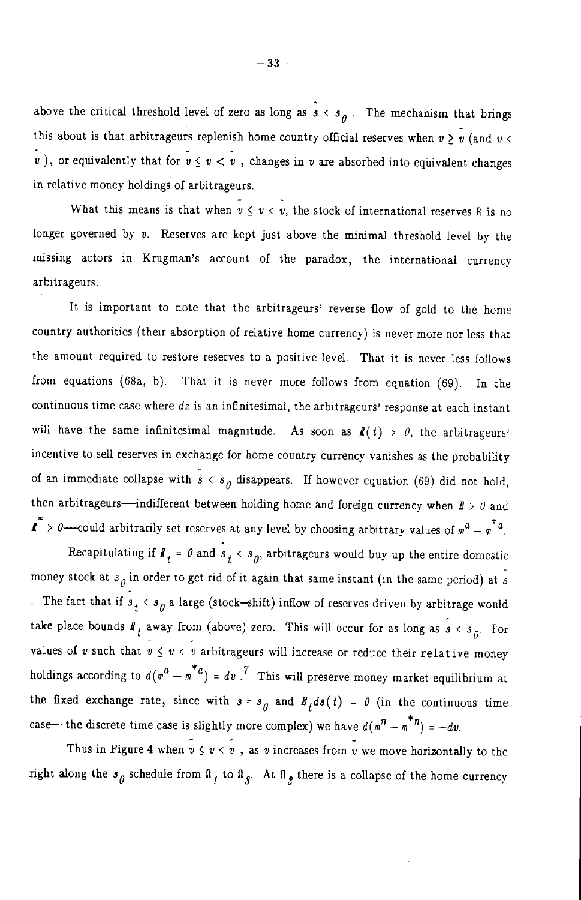above the critical threshold level of zero as long as  $\hat{s} < s_a$ . The mechanism that brings this about is that arbitrageurs replenish home country official reserves when  $v \ge v$  (and  $v <$ v), or equivalently that for  $v \le v < v$ , changes in v are absorbed into equivalent changes in relative money holdings of arbitrageurs.

What this means is that when  $v \le v < v$ , the stock of international reserves R is no longer governed by  $v$ . Reserves are kept just above the minimal threshold level by the missing actors in Krugman's account of the paradox, the international currency arbitrageurs.

It is important to note that the arbitrageurs' reverse flow of gold to the home country authorities (their absorption of relative home currency) is never more nor less that the amount required to restore reserves to a positive level. That it is never less follows from equations (68a, b). That it is never more follows from equation (69). In the continuous time case where  $dz$  is an infinitesimal, the arbitrageurs' response at each instant will have the same infinitesimal magnitude. As soon as  $\mathbf{R}(t) > 0$ , the arbitrageurs' incentive to sell reserves in exchange for home country currency vanishes as the probability of an immediate collapse with  $s < s_0$  disappears. If however equation (69) did not hold, then arbitrageurs—indifferent between holding home and foreign currency when  $\mathbf{f} > \theta$  and  $\overrightarrow{\mathbf{l}}$  > 0—could arbitrarily set reserves at any level by choosing arbitrary values of  $m^2 - m^* a$ .

Recapitulating if  $\mathbf{R}_t = \theta$  and  $\hat{s}_t < s_{\theta}$ , arbitrageurs would buy up the entire domestic money stock at  $s_{\theta}$  in order to get rid of it again that same instant (in the same period) at  $\hat{s}$ . The fact that if  $s_t < s_0$  a large (stock-shift) inflow of reserves driven by arbitrage would take place bounds  $\ell_t$  away from (above) zero. This will occur for as long as  $\hat{s} < s_{\rho}$ . For values of v such that  $v \le v < v$  arbitrageurs will increase or reduce their relative money holdings according to  $d(m^a - m^* a) = dv$ .<sup>7</sup> This will preserve money market equilibrium at the fixed exchange rate, since with  $s = s_0$  and  $B_t ds(t) = 0$  (in the continuous time case—the discrete time case is slightly more complex) we have  $d(m^n - m^{*n}) = -dv$ .

Thus in Figure 4 when  $\overline{v} \le v \le v$ , as v increases from  $\overline{v}$  we move horizontally to the right along the  $s_0$  schedule from  $\mathfrak{a}_1$  to  $\mathfrak{a}_2$ . At  $\mathfrak{a}_3$  there is a collapse of the home currency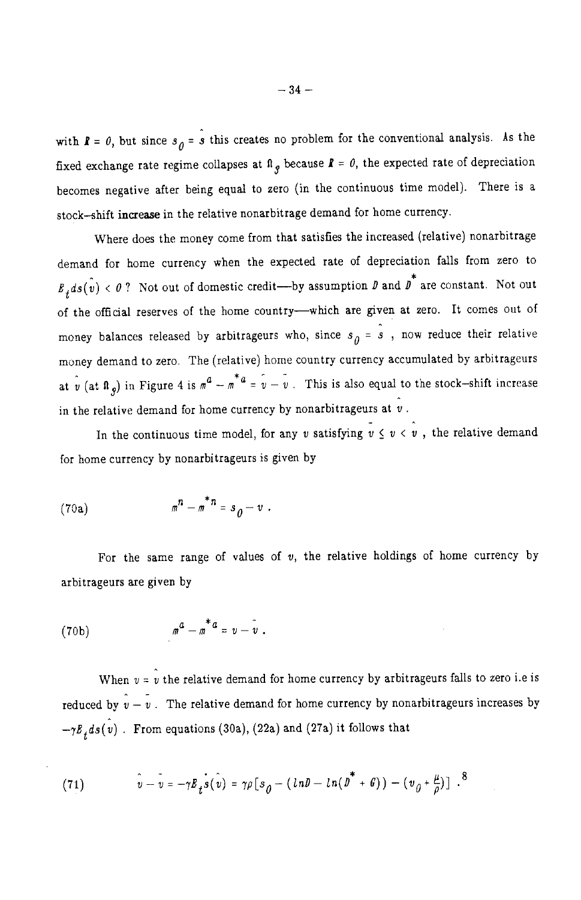with  $\mathbf{k} = \theta$ , but since  $s_{\theta} = \hat{s}$  this creates no problem for the conventional analysis. As the fixed exchange rate regime collapses at  $\mathbf{a}_{g}$  because  $\mathbf{k} = \theta$ , the expected rate of depreciation becomes negative after being equal to zero (in the continuous time model). There is a stock-shift increase in the relative nonarbitrage demand for home currency.

Where does the money come from that satisfies the increased (relative) nonarbitrage demand for home currency when the expected rate of depreciation falls from zero to  $B_t ds(\hat{v}) < \theta$ ? Not out of domestic credit—by assumption  $\theta$  and  $\hat{\theta}^*$  are constant. Not out of the official reserves of the home country-which are given at zero. It comes out of money balances released by arbitrageurs who, since  $s_{\theta} = \hat{s}$ , now reduce their relative money demand to zero. The (relative) home country currency accumulated by arbitrageurs at  $\hat{v}$  (at  $\hat{n}$ ) in Figure 4 is  $m^2 - m^* = \hat{v} - \hat{v}$ . This is also equal to the stock-shift increase in the relative demand for home currency by nonarbitrageurs at  $\hat{v}$ .

In the continuous time model, for any v satisfying  $\tilde{v} \le v \le \tilde{v}$ , the relative demand for home currency by nonarbitrageurs is given by

$$
(70a) \t\t\t mn - m* n = s0 - v.
$$

For the same range of values of  $v$ , the relative holdings of home currency by arbitrageurs are given by

$$
(70b) \qquad \qquad m^a - m^* a = v - v
$$

When  $v = v$  the relative demand for home currency by arbitrageurs falls to zero i.e is reduced by  $\hat{v} - \hat{v}$ . The relative demand for home currency by nonarbitrageurs increases by  $-\gamma B_t ds(v)$ . From equations (30a), (22a) and (27a) it follows that

(71) 
$$
\hat{v} - \overline{v} = -\gamma B_t \hat{s}(\hat{v}) = \gamma \rho \left[ s_0 - (\ln \theta - \ln(\overline{\theta}^* + \theta)) - (\nu_0 + \frac{\mu}{\rho}) \right].^8
$$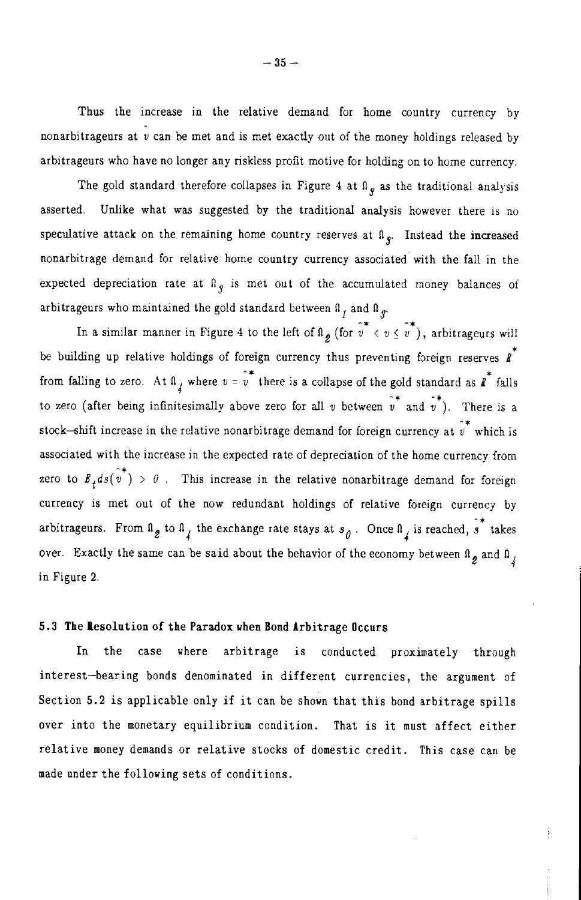Thus the increase in the relative demand for home country currency by nonarbitrageurs at  $\hat{v}$  can be met and is met exactly out of the money holdings released by arbitrageurs who have no longer any riskless profit motive for holding on to home currency.

The gold standard therefore collapses in Figure 4 at  $\mathfrak{a}_{\ell}$  as the traditional analysis asserted. Unlike what was suggested by the traditional analysis however there is no speculative attack on the remaining home country reserves at  $\mathfrak{a}_{\mathfrak{e}}$ . Instead the increased nonarbitrage demand for relative home country currency associated with the fall in the expected depreciation rate at  $\mathbb{R}_{q}$  is met out of the accumulated money balances of arbitrageurs who maintained the gold standard between  $\beta$ , and  $\beta$ <sub>g</sub>.

In a similar manner in Figure 4 to the left of  $\hat{u}$  (for  $\hat{v}^* < v \leq v^*$ ), arbitrageurs will be building up relative holdings of foreign currency thus preventing foreign reserves  $\overrightarrow{R}$ from falling to zero. At  $\theta$ , where  $v = \hat{v}^*$  there is a collapse of the gold standard as  $\hat{I}^*$  falls to zero (after being infinitesimally above zero for all v between  $v^*$  and  $v^*$ ). There is a stock-shift increase in the relative nonarbitrage demand for foreign currency at  $\hat{v}^*$  which is associated with the increase in the expected rate of depreciation of the home currency from zero to  $E_t ds(\tilde{v}^*) > 0$ . This increase in the relative nonarbitrage demand for foreign currency is met out of the now redundant holdings of relative foreign currency by arbitrageurs. From  $\ln_{g}$  to  $\ln_{4}$  the exchange rate stays at  $s_{0}$ . Once  $\ln_{4}$  is reached,  $\hat{s}^{*}$  takes over. Exactly the same can be said about the behavior of the economy between  $\mathbb{I}_g$  and  $\mathbb{I}_f$ in Figure 2.

# 5.3 The Resolution of the Paradox when Bond Arbitrage Occurs

In the case where arbitrage is conducted proximately through interest-bearing bonds denominated in different currencies, the argument of Section 5.2 is applicable only if it can be shown that this bond arbitrage spills over into the monetary equilibrium condition. That is it must affect either relative money demands or relative stocks of domestic credit. This case can be made under the following sets of conditions.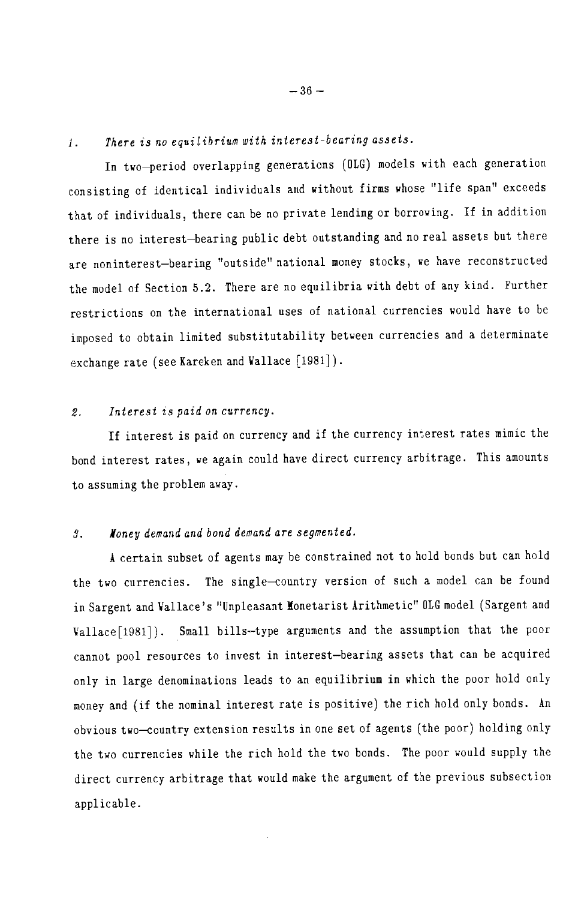#### There is no equilibrium with interest-bearing assets.  $1.$

In two-period overlapping generations (OLG) models with each generation consisting of identical individuals and without firms whose "life span" exceeds that of individuals, there can be no private lending or borrowing. If in addition there is no interest-bearing public debt outstanding and no real assets but there are noninterest-bearing "outside" national money stocks, we have reconstructed the model of Section 5.2. There are no equilibria with debt of any kind. Further restrictions on the international uses of national currencies would have to be imposed to obtain limited substitutability between currencies and a determinate exchange rate (see Kareken and Wallace [1981]).

#### Interest is paid on currency.  $\mathfrak{D}$

If interest is paid on currency and if the currency interest rates mimic the bond interest rates, we again could have direct currency arbitrage. This amounts to assuming the problem away.

#### Noney demand and bond demand are segmented. 3.

A certain subset of agents may be constrained not to hold bonds but can hold the two currencies. The single-country version of such a model can be found in Sargent and Wallace's "Unpleasant Monetarist Arithmetic" OLG model (Sargent and Vallace [1981]). Small bills-type arguments and the assumption that the poor cannot pool resources to invest in interest-bearing assets that can be acquired only in large denominations leads to an equilibrium in which the poor hold only money and (if the nominal interest rate is positive) the rich hold only bonds. An obvious two-country extension results in one set of agents (the poor) holding only the two currencies while the rich hold the two bonds. The poor would supply the direct currency arbitrage that would make the argument of the previous subsection applicable.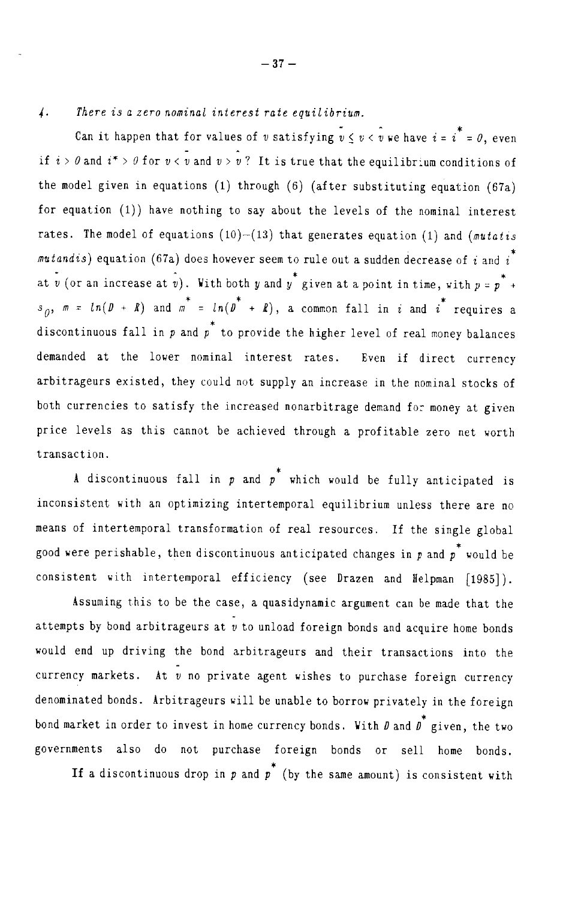There is a zero nominal interest rate equilibrium.  $\frac{1}{4}$ .

Can it happen that for values of v satisfying  $v \le v \le v$  we have  $i = i^* = 0$ , even if  $i > \theta$  and  $i^* > \theta$  for  $v < v$  and  $v > v$ ? It is true that the equilibrium conditions of the model given in equations (1) through  $(6)$  (after substituting equation  $(67a)$ for equation (1)) have nothing to say about the levels of the nominal interest rates. The model of equations (10)-(13) that generates equation (1) and (*mutatis* mutandis) equation (67a) does however seem to rule out a sudden decrease of i and  $i^*$ at v (or an increase at v). With both y and y' given at a point in time, with  $p = p^* +$  $s_0$ ,  $m = ln(D + R)$  and  $m^* = ln(D^* + R)$ , a common fall in i and i requires a discontinuous fall in  $p$  and  $p^*$  to provide the higher level of real money balances demanded at the lower nominal interest rates. Even if direct currency arbitrageurs existed, they could not supply an increase in the nominal stocks of both currencies to satisfy the increased nonarbitrage demand for money at given price levels as this cannot be achieved through a profitable zero net worth transaction.

A discontinuous fall in  $p$  and  $p^*$  which would be fully anticipated is inconsistent with an optimizing intertemporal equilibrium unless there are no means of intertemporal transformation of real resources. If the single global good were perishable, then discontinuous anticipated changes in  $p$  and  $p$  would be consistent with intertemporal efficiency (see Drazen and Helpman [1985]).

Assuming this to be the case, a quasidynamic argument can be made that the attempts by bond arbitrageurs at  $v$  to unload foreign bonds and acquire home bonds would end up driving the bond arbitrageurs and their transactions into the currency markets. At  $\bar{v}$  no private agent wishes to purchase foreign currency denominated bonds. Arbitrageurs will be unable to borrow privately in the foreign bond market in order to invest in home currency bonds. With  $D$  and  $D^*$  given, the two governments also do not purchase foreign bonds or sell home bonds.

If a discontinuous drop in  $p$  and  $p^*$  (by the same amount) is consistent with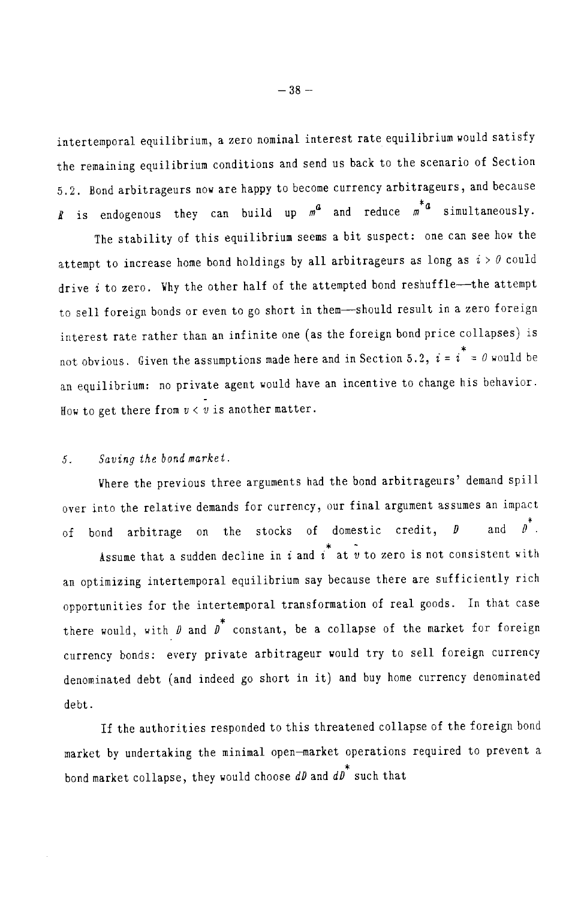intertemporal equilibrium, a zero nominal interest rate equilibrium would satisfy the remaining equilibrium conditions and send us back to the scenario of Section 5.2. Bond arbitrageurs now are happy to become currency arbitrageurs, and because *R* is endogenous they can build up  $m^a$  and reduce  $m^*a$  simultaneously.

The stability of this equilibrium seems a bit suspect: one can see how the attempt to increase home bond holdings by all arbitrageurs as long as  $i > 0$  could drive i to zero. Why the other half of the attempted bond reshuffle-the attempt to sell foreign bonds or even to go short in them-should result in a zero foreign interest rate rather than an infinite one (as the foreign bond price collapses) is not obvious. Given the assumptions made here and in Section 5.2,  $i = i^* = 0$  would be an equilibrium: no private agent would have an incentive to change his behavior. How to get there from  $v < v$  is another matter.

#### Saving the bond market.  $5<sub>1</sub>$

Where the previous three arguments had the bond arbitrageurs' demand spill over into the relative demands for currency, our final argument assumes an impact stocks of domestic credit, D and  $\theta$ . the of bond arbitrage on

Assume that a sudden decline in i and  $\tilde{i}$  at  $\tilde{v}$  to zero is not consistent with an optimizing intertemporal equilibrium say because there are sufficiently rich opportunities for the intertemporal transformation of real goods. In that case there would, with  $\beta$  and  $\overline{\beta}^*$  constant, be a collapse of the market for foreign currency bonds: every private arbitrageur would try to sell foreign currency denominated debt (and indeed go short in it) and buy home currency denominated debt.

If the authorities responded to this threatened collapse of the foreign bond market by undertaking the minimal open-market operations required to prevent a bond market collapse, they would choose  $dD$  and  $dD^*$  such that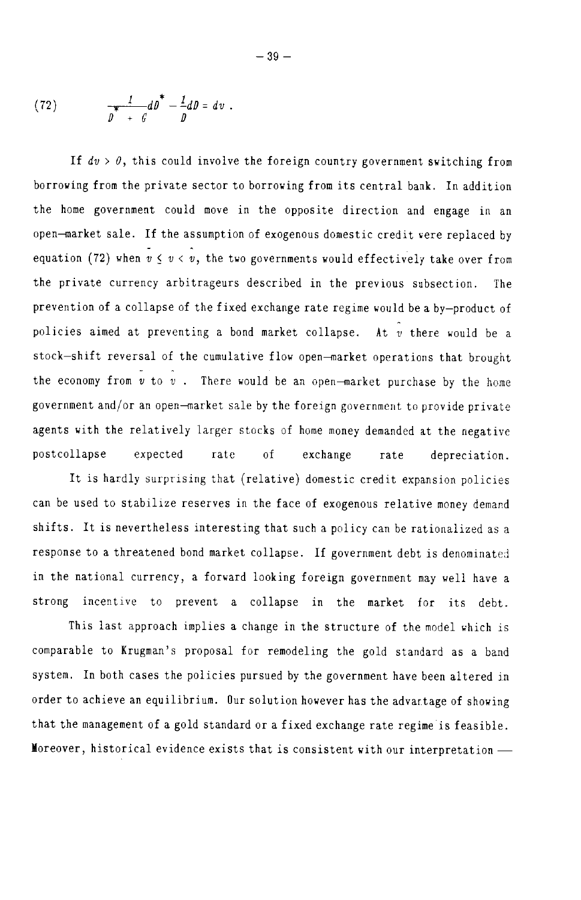(72) 
$$
\int_{D}^{1} \frac{1}{f} dD = dv.
$$

If  $dv > 0$ , this could involve the foreign country government switching from borrowing from the private sector to borrowing from its central bank. In addition the home government could move in the opposite direction and engage in an open-market sale. If the assumption of exogenous domestic credit were replaced by equation (72) when  $v \le v \le v$ , the two governments would effectively take over from the private currency arbitrageurs described in the previous subsection. The prevention of a collapse of the fixed exchange rate regime would be a by-product of policies aimed at preventing a bond market collapse. At v there would be a stock-shift reversal of the cumulative flow open-market operations that brought the economy from  $v$  to  $v$ . There would be an open-market purchase by the home government and/or an open-market sale by the foreign government to provide private agents with the relatively larger stocks of home money demanded at the negative postcollapse expected rate  $\alpha$ f exchange rate depreciation.

It is hardly surprising that (relative) domestic credit expansion policies can be used to stabilize reserves in the face of exogenous relative money demand shifts. It is nevertheless interesting that such a policy can be rationalized as a response to a threatened bond market collapse. If government debt is denominated in the national currency, a forward looking foreign government may well have a strong incentive to prevent a collapse in the market for its debt.

This last approach implies a change in the structure of the model which is comparable to Krugman's proposal for remodeling the gold standard as a band system. In both cases the policies pursued by the government have been altered in order to achieve an equilibrium. Our solution however has the advantage of showing that the management of a gold standard or a fixed exchange rate regime is feasible. Moreover, historical evidence exists that is consistent with our interpretation -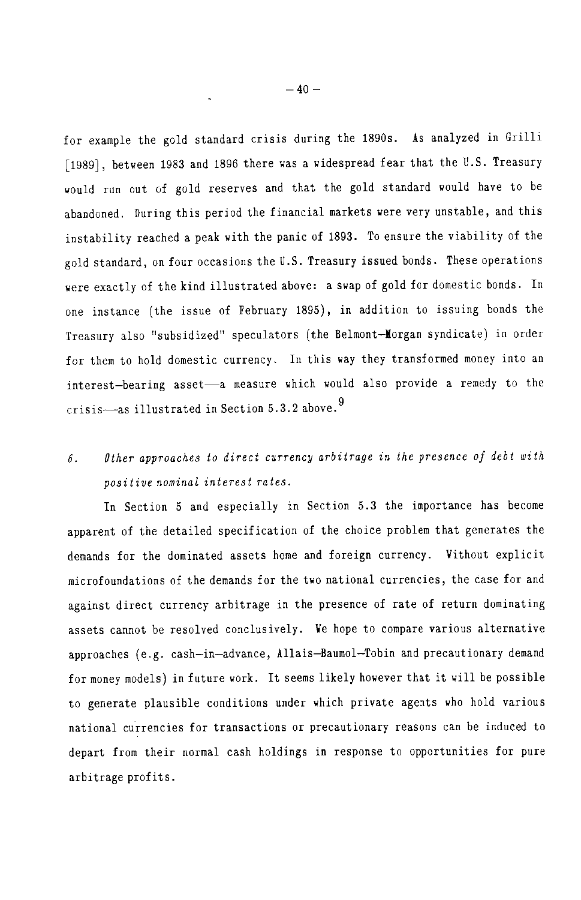for example the gold standard crisis during the 1890s. As analyzed in Grilli [1989], between 1983 and 1896 there was a widespread fear that the U.S. Treasury would run out of gold reserves and that the gold standard would have to be abandoned. During this period the financial markets were very unstable, and this instability reached a peak with the panic of 1893. To ensure the viability of the gold standard, on four occasions the U.S. Treasury issued bonds. These operations were exactly of the kind illustrated above: a swap of gold for domestic bonds. In one instance (the issue of February 1895), in addition to issuing bonds the Treasury also "subsidized" speculators (the Belmont-Morgan syndicate) in order for them to hold domestic currency. In this way they transformed money into an interest-bearing asset-a measure which would also provide a remedy to the crisis-as illustrated in Section 5.3.2 above.<sup>9</sup>

### Other approaches to direct currency arbitrage in the presence of debt with  $6.$ positive nominal interest rates.

In Section 5 and especially in Section 5.3 the importance has become apparent of the detailed specification of the choice problem that generates the demands for the dominated assets home and foreign currency. Without explicit microfoundations of the demands for the two national currencies, the case for and against direct currency arbitrage in the presence of rate of return dominating assets cannot be resolved conclusively. We hope to compare various alternative approaches (e.g. cash-in-advance, Allais-Baumol-Tobin and precautionary demand for money models) in future work. It seems likely however that it will be possible to generate plausible conditions under which private agents who hold various national currencies for transactions or precautionary reasons can be induced to depart from their normal cash holdings in response to opportunities for pure arbitrage profits.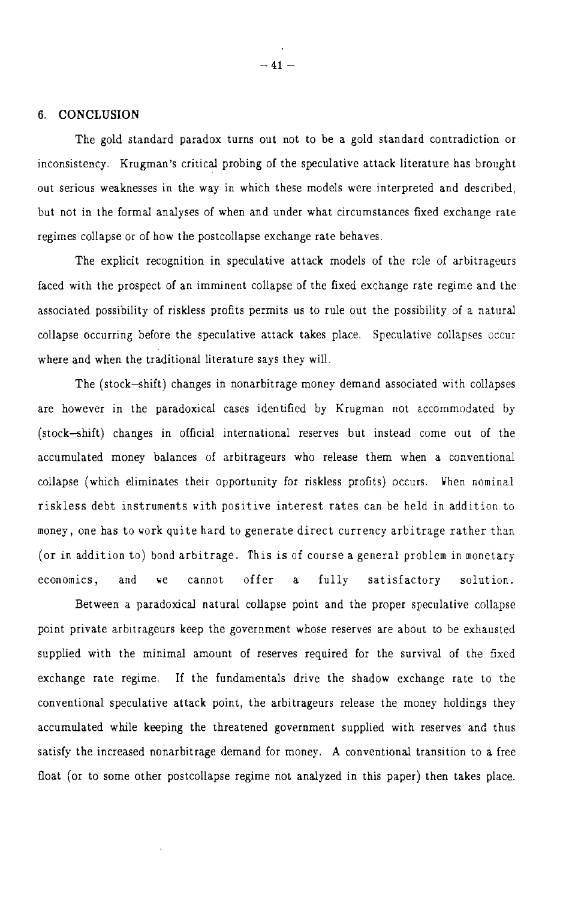### 6. CONCLUSION

The gold standard paradox turns out not to be a gold standard contradiction or inconsistency. Krugman's critical probing of the speculative attack literature has brought out serious weaknesses in the way in which these models were interpreted and described, but not in the formal analyses of when and under what circumstances fixed exchange rate regimes collapse or of how the postcollapse exchange rate behaves.

The explicit recognition in speculative attack models of the role of arbitrageurs faced with the prospect of an imminent collapse of the fixed exchange rate regime and the associated possibility of riskless profits permits us to rule out the possibility of a natural collapse occurring before the speculative attack takes place. Speculative collapses occur where and when the traditional literature says they will.

The (stock-shift) changes in nonarbitrage money demand associated with collapses are however in the paradoxical cases identified by Krugman not accommodated by (stock-shift) changes in official international reserves but instead come out of the accumulated money balances of arbitrageurs who release them when a conventional collapse (which eliminates their opportunity for riskless profits) occurs. When nominal riskless debt instruments with positive interest rates can be held in addition to money, one has to work quite hard to generate direct currency arbitrage rather than (or in addition to) bond arbitrage. This is of course a general problem in monetary offer economics. and ve cannot  $\mathbf{a}$ fully satisfactory solution.

Between a paradoxical natural collapse point and the proper speculative collapse point private arbitrageurs keep the government whose reserves are about to be exhausted supplied with the minimal amount of reserves required for the survival of the fixed exchange rate regime. If the fundamentals drive the shadow exchange rate to the conventional speculative attack point, the arbitrageurs release the money holdings they accumulated while keeping the threatened government supplied with reserves and thus satisfy the increased nonarbitrage demand for money. A conventional transition to a free float (or to some other postcollapse regime not analyzed in this paper) then takes place.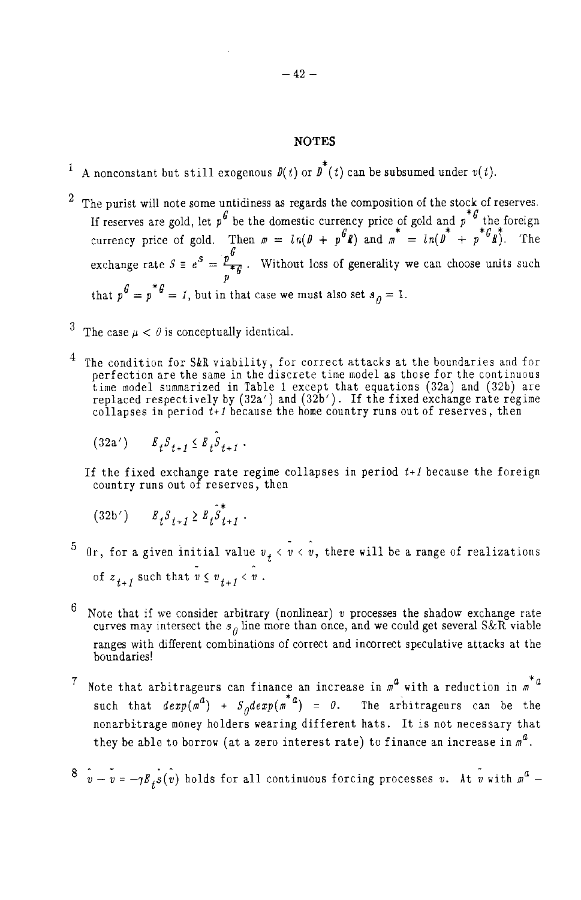## **NOTES**

- A nonconstant but still exogenous  $\mathit{D}(t)$  or  $\mathit{D}^{*}(t)$  can be subsumed under  $v(t).$
- The purist will note some untidiness as regards the composition of the stock of reserves. If reserves are gold, let  $p^G$  be the domestic currency price of gold and  $p^*G$  the foreign<br>currency price of gold. Then  $m = ln(D + p^G R)$  and  $m^* = ln(D^* + p^*G R^*)$ . The exchange rate  $S = e^{S} = \frac{p^{G}}{f}$ . Without loss of generality we can choose units such that  $p^{\theta} = p^* \theta = 1$ , but in that case we must also set  $s_{\theta} = 1$ .
- <sup>3</sup> The case  $\mu < \theta$  is conceptually identical.
- The condition for S&R viability, for correct attacks at the boundaries and for perfection are the same in the discrete time model as those for the continuous time model summarized in Table 1 except that equations (32a) an
	- $(32a')$   $E_f S_{f+1} \leq E_f S_{f+1}$ .
	- If the fixed exchange rate regime collapses in period  $t+1$  because the foreign country runs out of reserves, then
		- $(32b')$   $E_{+}S_{+,-1} \geq E_{+}S_{+,-1}^{*}$ .
- <sup>5</sup> 0r, for a given initial value  $v_t < v < v$ , there will be a range of realizations of  $z_{t+1}$  such that  $v \leq v_{t+1} < v$ .
- 6 Note that if we consider arbitrary (nonlinear) v processes the shadow exchange rate curves may intersect the  $s_{\theta}$  line more than once, and we could get several S&R viable ranges with different combinations of correct and incorrect speculative attacks at the boundaries!
- Note that arbitrageurs can finance an increase in  $m^2$  with a reduction in  $m^* a$  $7<sub>1</sub>$ such that  $dexp(m^d) + S_d dexp(m^{*d}) = 0$ . The arbitrageurs can be the nonarbitrage money holders wearing different hats. It is not necessary that they be able to borrow (at a zero interest rate) to finance an increase in  $m^a$ .
- $8 \hat{v} \hat{v} = -\gamma E_s(\hat{v})$  holds for all continuous forcing processes v. At  $\hat{v}$  with  $m^2$  -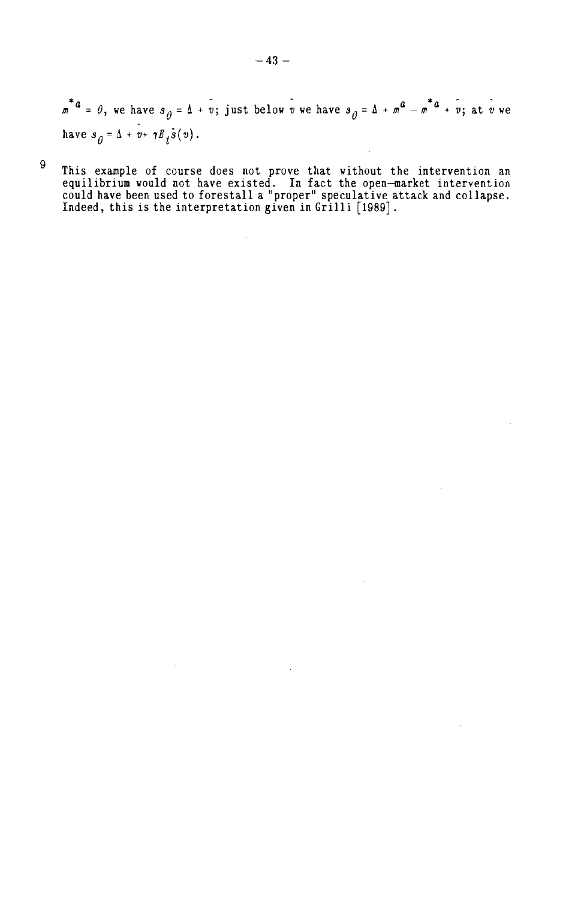$\overline{m}^*$ <sup>4</sup> = 0, we have  $s_{\overline{0}} = \Delta + \overline{v}$ ; just below  $\hat{v}$  we have  $s_{\overline{0}} = \Delta + m^2 - m^*$ <sup>4</sup> +  $\hat{v}$ ; at  $\hat{v}$  we have  $s_{\hat{\theta}} = \Delta + v + \gamma E_t \dot{s}(v)$ .

This example of course does not prove that without the intervention an equilibrium would not have existed. In fact the open-market intervention could have been used to forestall a "proper" speculative attack and collapse.

 $\boldsymbol{9}$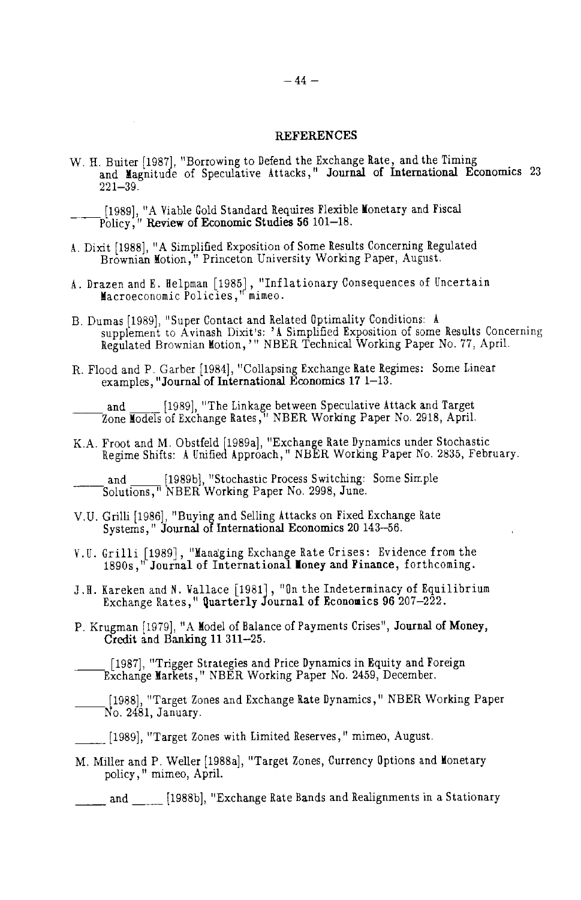### **REFERENCES**

- W. H. Buiter [1987], "Borrowing to Defend the Exchange Rate, and the Timing<br>and Magnitude of Speculative Attacks," Journal of International Economics 23  $221 - 39.$
- [1989], "A Viable Gold Standard Requires Flexible Monetary and Fiscal Policy," Review of Economic Studies 56 101–18.
- A. Dixit [1988], "A Simplified Exposition of Some Results Concerning Regulated Brownian Motion," Princeton University Working Paper, August.
- A. Drazen and E. Helpman [1985], "Inflationary Consequences of Uncertain Macroeconomic Policies," mimeo.
- B. Dumas [1989], "Super Contact and Related Optimality Conditions: A supplement to Avinash Dixit's: 'A Simplified Exposition of some Results Concerning<br>Regulated Brownian Motion,'" NBER Technical Working Paper No. 77, April.
- R. Flood and P. Garber [1984], "Collapsing Exchange Rate Regimes: Some Linear examples, "Journal of International Economics 17 1–13.

and [1989], "The Linkage between Speculative Attack and Target<br>Zone Models of Exchange Rates," NBER Working Paper No. 2918, April.

K.A. Froot and M. Obstfeld [1989a], "Exchange Rate Dynamics under Stochastic Regime Shifts: A Unified Approach," NBER Working Paper No. 2835, February.

- V.U. Grilli [1986], "Buying and Selling Attacks on Fixed Exchange Rate Systems," Journal of International Economics 20 143-56.
- V.U. Grilli [1989], "Managing Exchange Rate Crises: Evidence from the 1890s," Journal of International Money and Finance, forthcoming.
- J.H. Kareken and N. Vallace [1981], "On the Indeterminacy of Equilibrium<br>Exchange Rates," Quarterly Journal of Economics 96 207-222.
- P. Krugman [1979], "A Model of Balance of Payments Crises", Journal of Money, Credit and Banking 11 311-25.

[1987], "Trigger Strategies and Price Dynamics in Equity and Foreign<br>Exchange Markets," NBER Working Paper No. 2459, December.

[1988], "Target Zones and Exchange Rate Dynamics," NBER Working Paper<br>No. 2481, January.

[1989], "Target Zones with Limited Reserves," mimeo, August.

M. Miller and P. Weller [1988a], "Target Zones, Currency Options and Monetary policy," mimeo, April.

and [1988b], "Exchange Rate Bands and Realignments in a Stationary

and [1989b], "Stochastic Process Switching: Some Simple Solutions," NBER Working Paper No. 2998, June.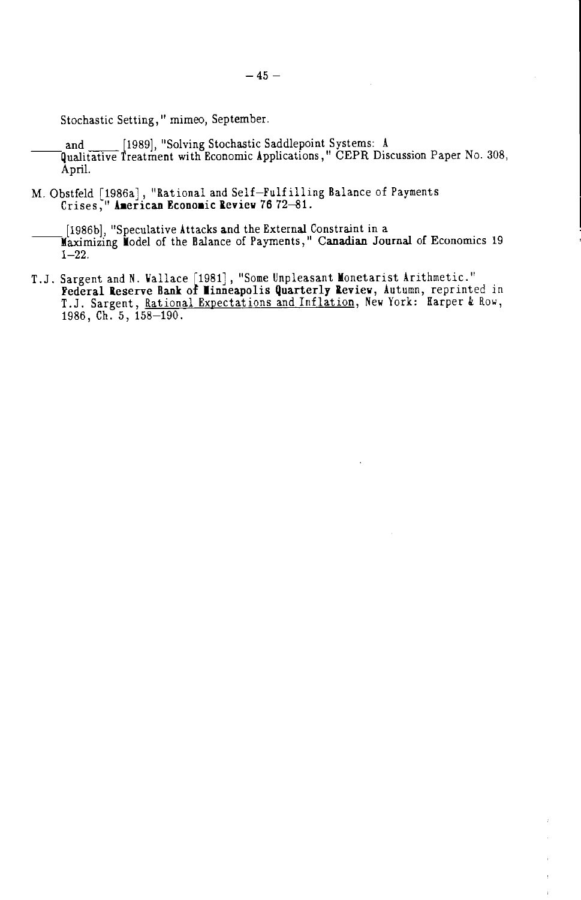Stochastic Setting," mimeo, September.

and [1989], "Solving Stochastic Saddlepoint Systems: A [1989], "Solving Stochastic Saddlepoint Systems: A [1989] April.

M. Obstfeld [1986a], "Rational and Self-Fulfilling Balance of Payments<br>Crises, "American Economic Review 7672-81.

[1986b], "Speculative Attacks and the External Constraint in a<br>Maximizing Model of the Balance of Payments," Canadian Journal of Economics 19  $1 - 22$ .

T.J. Sargent and N. Vallace [1981], "Some Unpleasant Monetarist Arithmetic."<br>**Federal Reserve Bank of Minneapolis Quarterly Review**, Autumn, reprinted in T.J. Sargent, Rational Expectations and Inflation, New York: Harper & Row, 1986, Ch. 5, 158-190.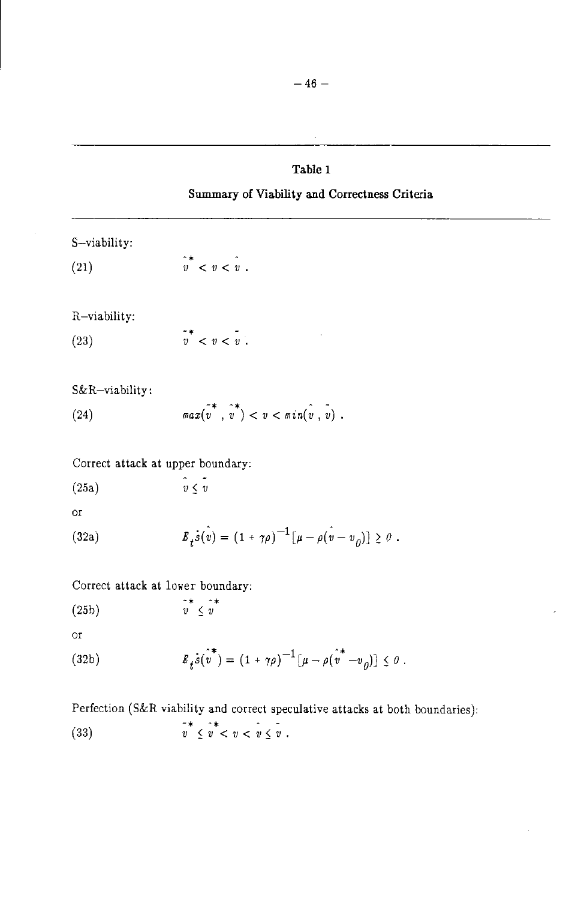# Table 1

## Summary of Viability and Correctness Criteria

S-viability:

 $\hat{v}^*$  <  $v$  <  $\hat{v}$ .  $(21)$ 

R-viability:

 $\overline{v}^*$  <  $v$  <  $\overline{v}$ .  $(23)$ 

S&R-viability:

 $\overline{max}(v^*, v^*) < v < \overline{min}(v, v)$ ,  $(24)$ 

Correct attack at upper boundary:

$$
(25a) \t\t v \le v
$$

 $O<sub>I</sub>$ 

(32a) 
$$
B_t \dot{s}(\hat{v}) = (1 + \gamma \rho)^{-1} [\mu - \rho (\hat{v} - v_0)] \geq 0.
$$

Correct attack at lower boundary:

$$
\begin{array}{cc}\n (25b) & \stackrel{\sim}{v} \leq v \\
 & \leq v\n\end{array}
$$

 $\overline{\text{or}}$ 

(32b) 
$$
E_t s(v^*) = (1 + \gamma \rho)^{-1} [\mu - \rho(v^* - v_0)] \leq 0.
$$

Perfection (S&R viability and correct speculative attacks at both boundaries):

 $\overline{v}^*$   $\prec v$   $\prec v$   $\prec v$   $\prec v$ .  $(33)$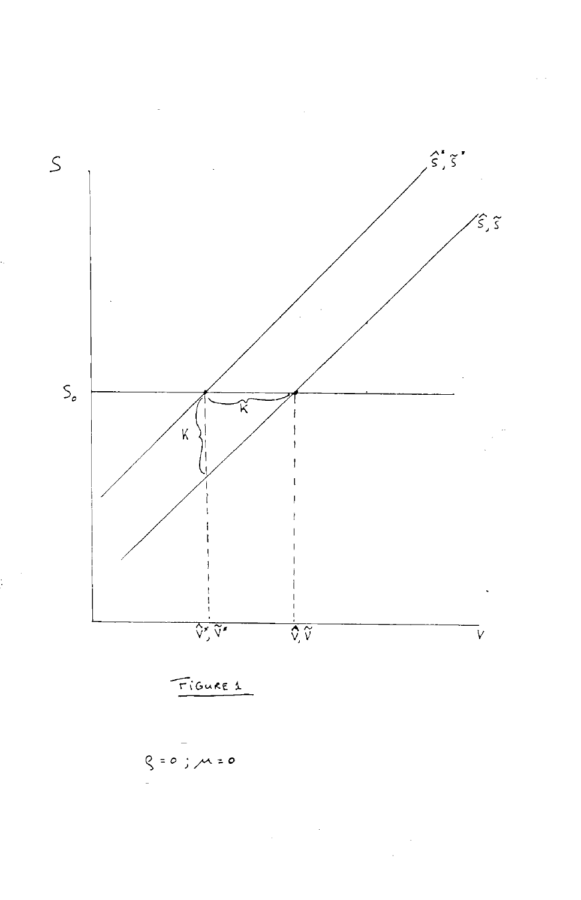

į.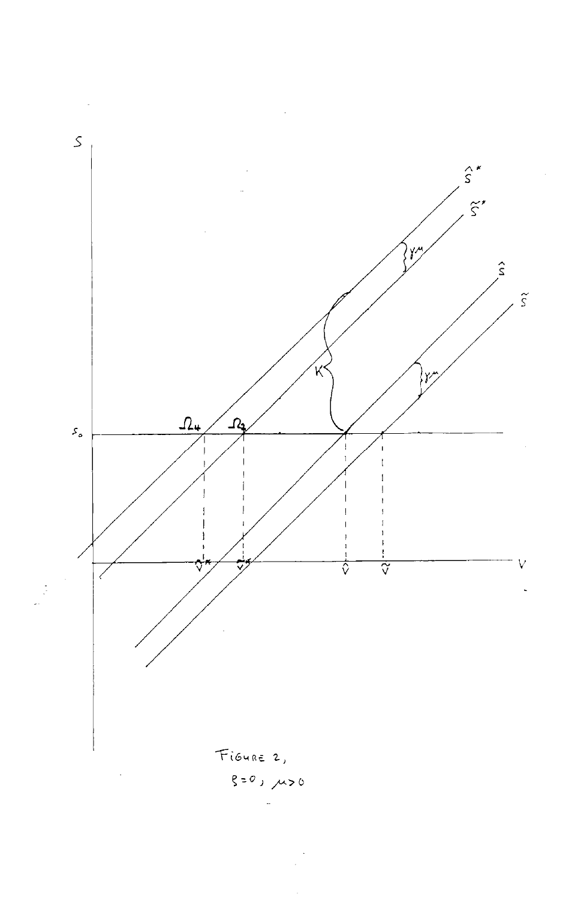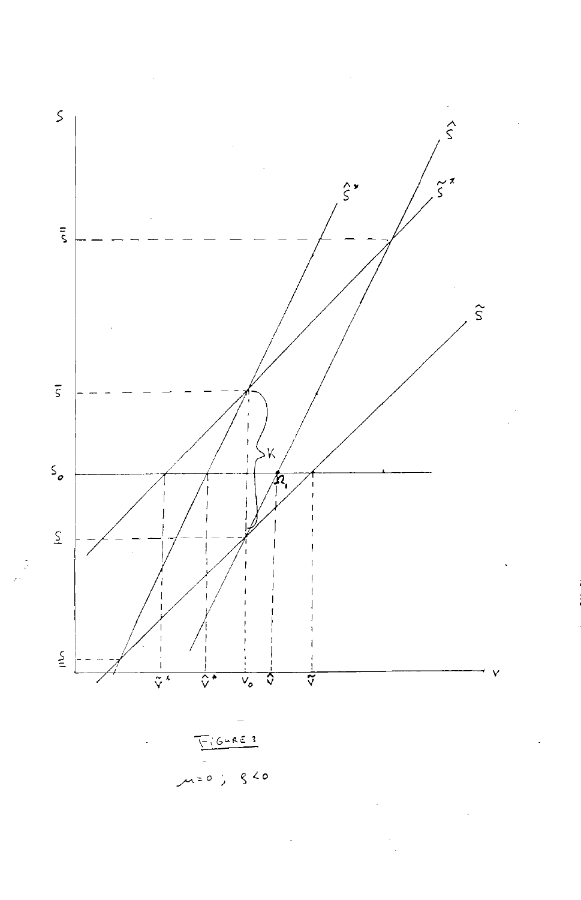

 $\zeta$  < 0  $\lambda = 0$ ;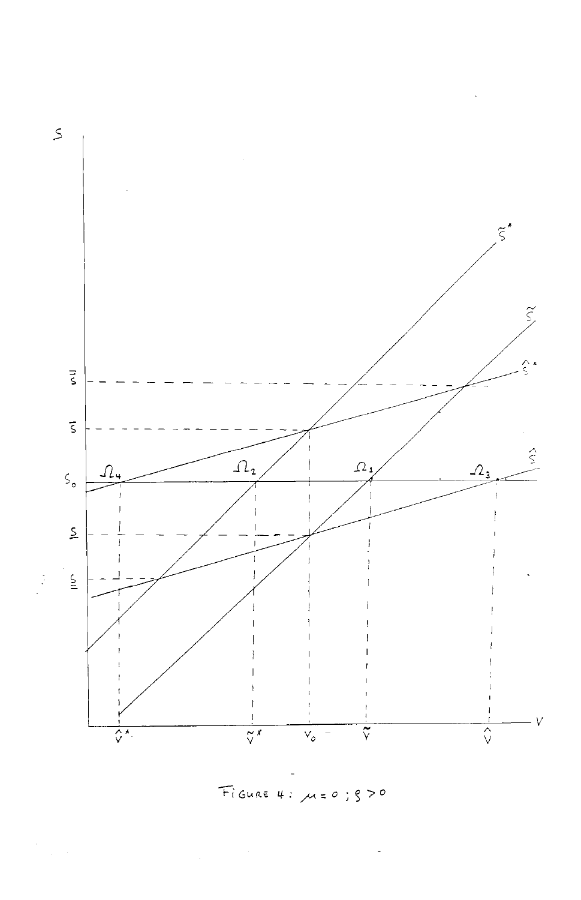

FIGURE 4: M=0; 870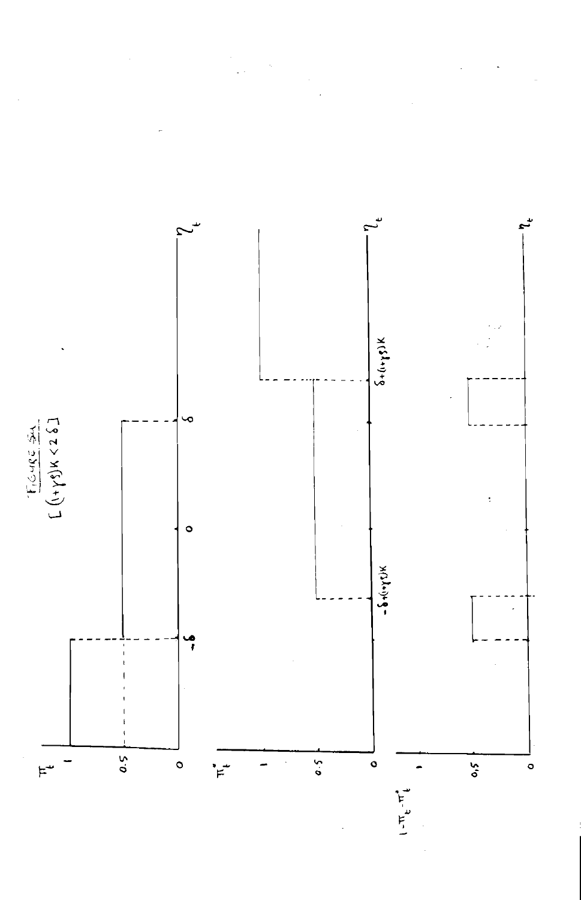